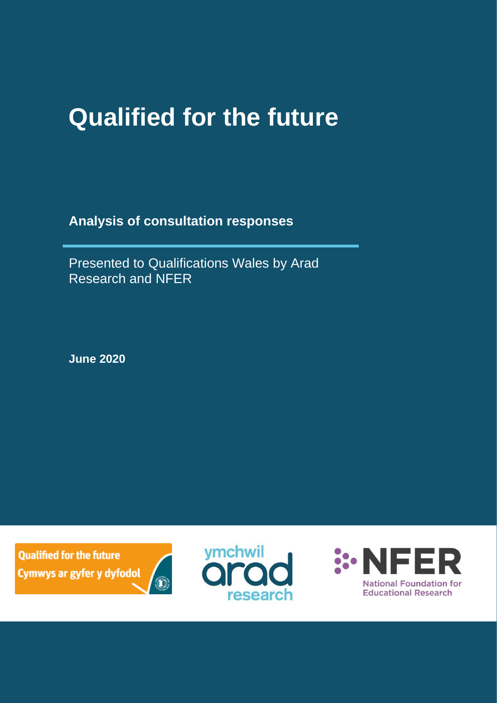# **Qualified for the future**

**Analysis of consultation responses**

Presented to Qualifications Wales by Arad Research and NFER

**June 2020**

**Qualified for the future** Cymwys ar gyfer y dyfodol





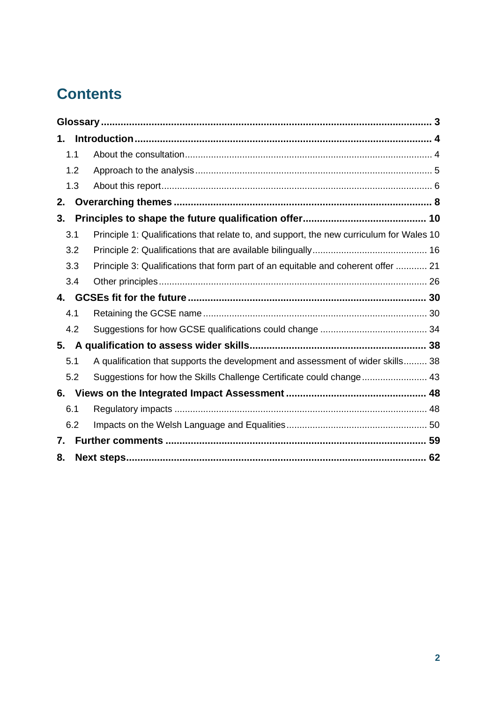# **Contents**

| 1.  |                                                                                          |  |  |  |
|-----|------------------------------------------------------------------------------------------|--|--|--|
| 1.1 |                                                                                          |  |  |  |
| 1.2 |                                                                                          |  |  |  |
| 1.3 |                                                                                          |  |  |  |
| 2.  |                                                                                          |  |  |  |
| 3.  |                                                                                          |  |  |  |
| 3.1 | Principle 1: Qualifications that relate to, and support, the new curriculum for Wales 10 |  |  |  |
| 3.2 |                                                                                          |  |  |  |
| 3.3 | Principle 3: Qualifications that form part of an equitable and coherent offer  21        |  |  |  |
| 3.4 |                                                                                          |  |  |  |
|     |                                                                                          |  |  |  |
| 4.1 |                                                                                          |  |  |  |
| 4.2 |                                                                                          |  |  |  |
| 5.  |                                                                                          |  |  |  |
| 5.1 | A qualification that supports the development and assessment of wider skills 38          |  |  |  |
| 5.2 | Suggestions for how the Skills Challenge Certificate could change 43                     |  |  |  |
| 6.  |                                                                                          |  |  |  |
| 6.1 |                                                                                          |  |  |  |
| 6.2 |                                                                                          |  |  |  |
| 7.  |                                                                                          |  |  |  |
| 8.  |                                                                                          |  |  |  |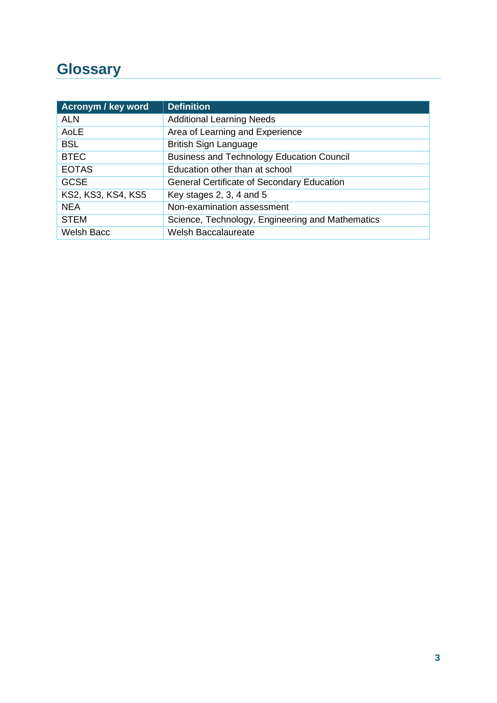# <span id="page-2-0"></span>**Glossary**

| <b>Acronym / key word</b> | <b>Definition</b>                                 |
|---------------------------|---------------------------------------------------|
| <b>ALN</b>                | <b>Additional Learning Needs</b>                  |
| AoLE                      | Area of Learning and Experience                   |
| <b>BSL</b>                | <b>British Sign Language</b>                      |
| <b>BTEC</b>               | <b>Business and Technology Education Council</b>  |
| <b>EOTAS</b>              | Education other than at school                    |
| <b>GCSE</b>               | <b>General Certificate of Secondary Education</b> |
| KS2, KS3, KS4, KS5        | Key stages 2, 3, 4 and $5$                        |
| <b>NEA</b>                | Non-examination assessment                        |
| <b>STEM</b>               | Science, Technology, Engineering and Mathematics  |
| <b>Welsh Bacc</b>         | <b>Welsh Baccalaureate</b>                        |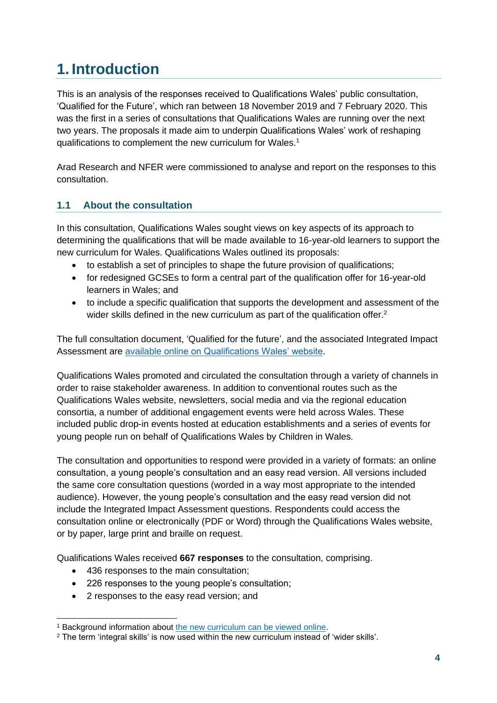# <span id="page-3-0"></span>**1. Introduction**

This is an analysis of the responses received to Qualifications Wales' public consultation, 'Qualified for the Future', which ran between 18 November 2019 and 7 February 2020. This was the first in a series of consultations that Qualifications Wales are running over the next two years. The proposals it made aim to underpin Qualifications Wales' work of reshaping qualifications to complement the new curriculum for Wales.<sup>1</sup>

Arad Research and NFER were commissioned to analyse and report on the responses to this consultation.

## <span id="page-3-1"></span>**1.1 About the consultation**

In this consultation, Qualifications Wales sought views on key aspects of its approach to determining the qualifications that will be made available to 16-year-old learners to support the new curriculum for Wales. Qualifications Wales outlined its proposals:

- to establish a set of principles to shape the future provision of qualifications;
- for redesigned GCSEs to form a central part of the qualification offer for 16-year-old learners in Wales; and
- to include a specific qualification that supports the development and assessment of the wider skills defined in the new curriculum as part of the qualification offer.<sup>2</sup>

The full consultation document, 'Qualified for the future', and the associated Integrated Impact Assessment are [available online on Qualifications Wales' website.](https://www.qualificationswales.org/english/qualified-for-the-future/)

Qualifications Wales promoted and circulated the consultation through a variety of channels in order to raise stakeholder awareness. In addition to conventional routes such as the Qualifications Wales website, newsletters, social media and via the regional education consortia, a number of additional engagement events were held across Wales. These included public drop-in events hosted at education establishments and a series of events for young people run on behalf of Qualifications Wales by Children in Wales.

The consultation and opportunities to respond were provided in a variety of formats: an online consultation, a young people's consultation and an easy read version. All versions included the same core consultation questions (worded in a way most appropriate to the intended audience). However, the young people's consultation and the easy read version did not include the Integrated Impact Assessment questions. Respondents could access the consultation online or electronically (PDF or Word) through the Qualifications Wales website, or by paper, large print and braille on request.

Qualifications Wales received **667 responses** to the consultation, comprising.

- 436 responses to the main consultation;
- 226 responses to the young people's consultation;
- 2 responses to the easy read version; and

<sup>1</sup> Background information about [the new curriculum can be viewed online.](https://hwb.gov.wales/curriculum-for-wales)

<sup>2</sup> The term 'integral skills' is now used within the new curriculum instead of 'wider skills'.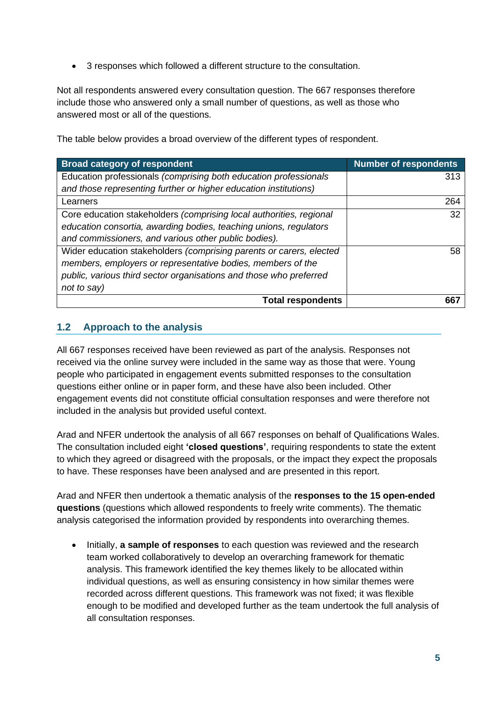• 3 responses which followed a different structure to the consultation.

Not all respondents answered every consultation question. The 667 responses therefore include those who answered only a small number of questions, as well as those who answered most or all of the questions.

The table below provides a broad overview of the different types of respondent.

| <b>Broad category of respondent</b>                                 | <b>Number of respondents</b> |
|---------------------------------------------------------------------|------------------------------|
| Education professionals (comprising both education professionals    | 313                          |
| and those representing further or higher education institutions)    |                              |
| Learners                                                            | 264                          |
| Core education stakeholders (comprising local authorities, regional | 32                           |
| education consortia, awarding bodies, teaching unions, regulators   |                              |
| and commissioners, and various other public bodies).                |                              |
| Wider education stakeholders (comprising parents or carers, elected | 58                           |
| members, employers or representative bodies, members of the         |                              |
| public, various third sector organisations and those who preferred  |                              |
| not to say)                                                         |                              |
| <b>Total respondents</b>                                            |                              |

### <span id="page-4-0"></span>**1.2 Approach to the analysis**

All 667 responses received have been reviewed as part of the analysis. Responses not received via the online survey were included in the same way as those that were. Young people who participated in engagement events submitted responses to the consultation questions either online or in paper form, and these have also been included. Other engagement events did not constitute official consultation responses and were therefore not included in the analysis but provided useful context.

Arad and NFER undertook the analysis of all 667 responses on behalf of Qualifications Wales. The consultation included eight **'closed questions'**, requiring respondents to state the extent to which they agreed or disagreed with the proposals, or the impact they expect the proposals to have. These responses have been analysed and are presented in this report.

Arad and NFER then undertook a thematic analysis of the **responses to the 15 open-ended questions** (questions which allowed respondents to freely write comments). The thematic analysis categorised the information provided by respondents into overarching themes.

• Initially, **a sample of responses** to each question was reviewed and the research team worked collaboratively to develop an overarching framework for thematic analysis. This framework identified the key themes likely to be allocated within individual questions, as well as ensuring consistency in how similar themes were recorded across different questions. This framework was not fixed; it was flexible enough to be modified and developed further as the team undertook the full analysis of all consultation responses.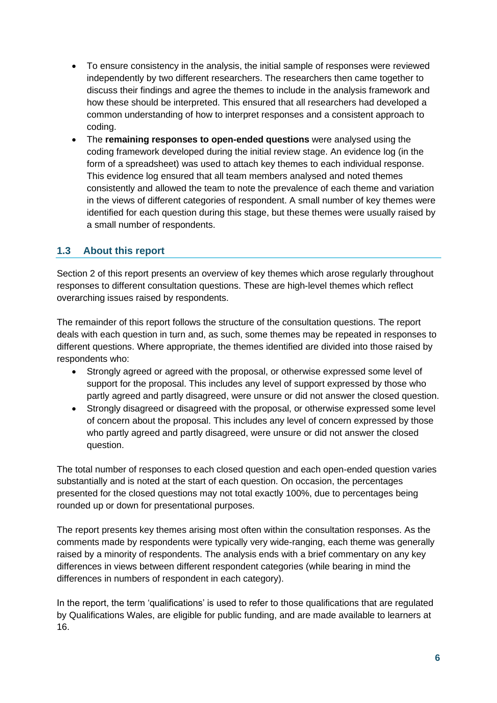- To ensure consistency in the analysis, the initial sample of responses were reviewed independently by two different researchers. The researchers then came together to discuss their findings and agree the themes to include in the analysis framework and how these should be interpreted. This ensured that all researchers had developed a common understanding of how to interpret responses and a consistent approach to coding.
- The **remaining responses to open-ended questions** were analysed using the coding framework developed during the initial review stage. An evidence log (in the form of a spreadsheet) was used to attach key themes to each individual response. This evidence log ensured that all team members analysed and noted themes consistently and allowed the team to note the prevalence of each theme and variation in the views of different categories of respondent. A small number of key themes were identified for each question during this stage, but these themes were usually raised by a small number of respondents.

#### <span id="page-5-0"></span>**1.3 About this report**

Section 2 of this report presents an overview of key themes which arose regularly throughout responses to different consultation questions. These are high-level themes which reflect overarching issues raised by respondents.

The remainder of this report follows the structure of the consultation questions. The report deals with each question in turn and, as such, some themes may be repeated in responses to different questions. Where appropriate, the themes identified are divided into those raised by respondents who:

- Strongly agreed or agreed with the proposal, or otherwise expressed some level of support for the proposal. This includes any level of support expressed by those who partly agreed and partly disagreed, were unsure or did not answer the closed question.
- Strongly disagreed or disagreed with the proposal, or otherwise expressed some level of concern about the proposal. This includes any level of concern expressed by those who partly agreed and partly disagreed, were unsure or did not answer the closed question.

The total number of responses to each closed question and each open-ended question varies substantially and is noted at the start of each question. On occasion, the percentages presented for the closed questions may not total exactly 100%, due to percentages being rounded up or down for presentational purposes.

The report presents key themes arising most often within the consultation responses. As the comments made by respondents were typically very wide-ranging, each theme was generally raised by a minority of respondents. The analysis ends with a brief commentary on any key differences in views between different respondent categories (while bearing in mind the differences in numbers of respondent in each category).

In the report, the term 'qualifications' is used to refer to those qualifications that are regulated by Qualifications Wales, are eligible for public funding, and are made available to learners at 16.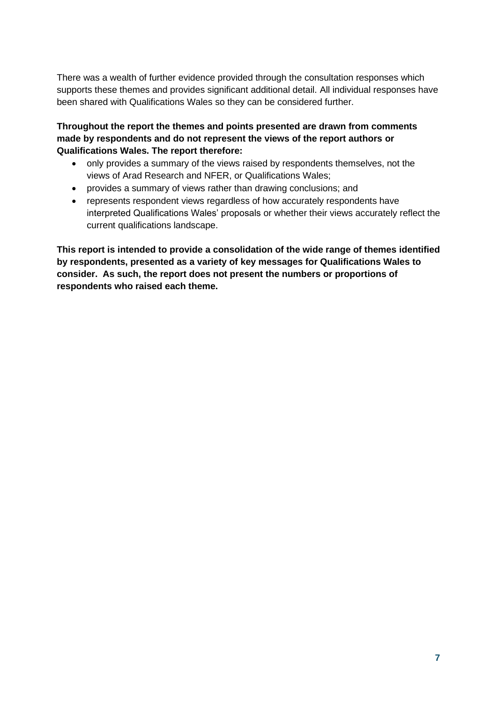There was a wealth of further evidence provided through the consultation responses which supports these themes and provides significant additional detail. All individual responses have been shared with Qualifications Wales so they can be considered further.

**Throughout the report the themes and points presented are drawn from comments made by respondents and do not represent the views of the report authors or Qualifications Wales. The report therefore:**

- only provides a summary of the views raised by respondents themselves, not the views of Arad Research and NFER, or Qualifications Wales;
- provides a summary of views rather than drawing conclusions; and
- represents respondent views regardless of how accurately respondents have interpreted Qualifications Wales' proposals or whether their views accurately reflect the current qualifications landscape.

**This report is intended to provide a consolidation of the wide range of themes identified by respondents, presented as a variety of key messages for Qualifications Wales to consider. As such, the report does not present the numbers or proportions of respondents who raised each theme.**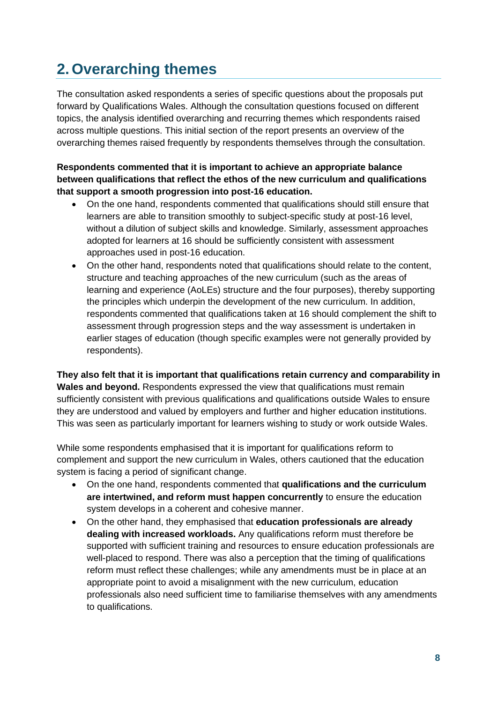# <span id="page-7-0"></span>**2. Overarching themes**

The consultation asked respondents a series of specific questions about the proposals put forward by Qualifications Wales. Although the consultation questions focused on different topics, the analysis identified overarching and recurring themes which respondents raised across multiple questions. This initial section of the report presents an overview of the overarching themes raised frequently by respondents themselves through the consultation.

#### **Respondents commented that it is important to achieve an appropriate balance between qualifications that reflect the ethos of the new curriculum and qualifications that support a smooth progression into post-16 education.**

- On the one hand, respondents commented that qualifications should still ensure that learners are able to transition smoothly to subject-specific study at post-16 level, without a dilution of subject skills and knowledge. Similarly, assessment approaches adopted for learners at 16 should be sufficiently consistent with assessment approaches used in post-16 education.
- On the other hand, respondents noted that qualifications should relate to the content, structure and teaching approaches of the new curriculum (such as the areas of learning and experience (AoLEs) structure and the four purposes), thereby supporting the principles which underpin the development of the new curriculum. In addition, respondents commented that qualifications taken at 16 should complement the shift to assessment through progression steps and the way assessment is undertaken in earlier stages of education (though specific examples were not generally provided by respondents).

**They also felt that it is important that qualifications retain currency and comparability in Wales and beyond.** Respondents expressed the view that qualifications must remain sufficiently consistent with previous qualifications and qualifications outside Wales to ensure they are understood and valued by employers and further and higher education institutions. This was seen as particularly important for learners wishing to study or work outside Wales.

While some respondents emphasised that it is important for qualifications reform to complement and support the new curriculum in Wales, others cautioned that the education system is facing a period of significant change.

- On the one hand, respondents commented that **qualifications and the curriculum are intertwined, and reform must happen concurrently** to ensure the education system develops in a coherent and cohesive manner.
- On the other hand, they emphasised that **education professionals are already dealing with increased workloads.** Any qualifications reform must therefore be supported with sufficient training and resources to ensure education professionals are well-placed to respond. There was also a perception that the timing of qualifications reform must reflect these challenges; while any amendments must be in place at an appropriate point to avoid a misalignment with the new curriculum, education professionals also need sufficient time to familiarise themselves with any amendments to qualifications.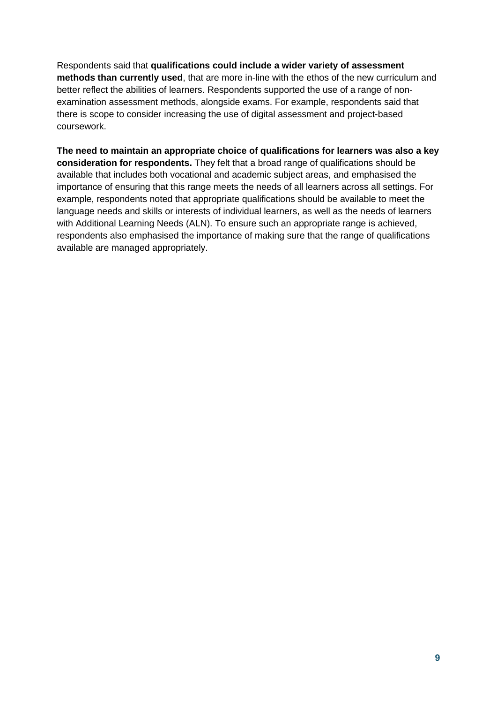Respondents said that **qualifications could include a wider variety of assessment methods than currently used**, that are more in-line with the ethos of the new curriculum and better reflect the abilities of learners. Respondents supported the use of a range of nonexamination assessment methods, alongside exams. For example, respondents said that there is scope to consider increasing the use of digital assessment and project-based coursework.

**The need to maintain an appropriate choice of qualifications for learners was also a key consideration for respondents.** They felt that a broad range of qualifications should be available that includes both vocational and academic subject areas, and emphasised the importance of ensuring that this range meets the needs of all learners across all settings. For example, respondents noted that appropriate qualifications should be available to meet the language needs and skills or interests of individual learners, as well as the needs of learners with Additional Learning Needs (ALN). To ensure such an appropriate range is achieved, respondents also emphasised the importance of making sure that the range of qualifications available are managed appropriately.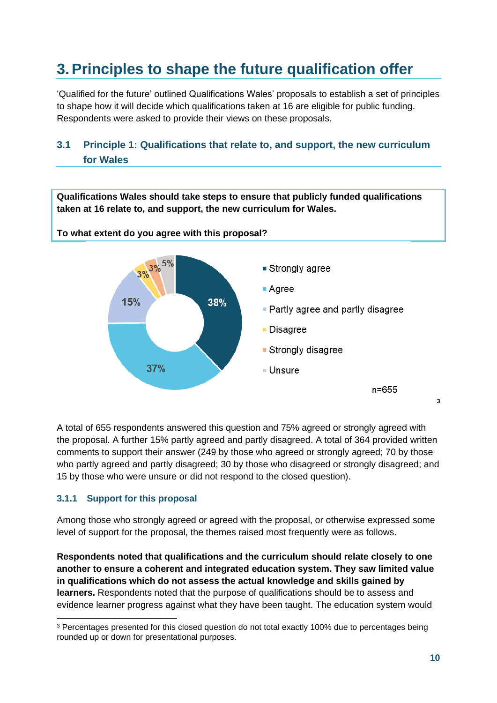# <span id="page-9-0"></span>**3.Principles to shape the future qualification offer**

'Qualified for the future' outlined Qualifications Wales' proposals to establish a set of principles to shape how it will decide which qualifications taken at 16 are eligible for public funding. Respondents were asked to provide their views on these proposals.

# <span id="page-9-1"></span>**3.1 Principle 1: Qualifications that relate to, and support, the new curriculum for Wales**

**Qualifications Wales should take steps to ensure that publicly funded qualifications taken at 16 relate to, and support, the new curriculum for Wales.** 

**To what extent do you agree with this proposal?**



A total of 655 respondents answered this question and 75% agreed or strongly agreed with the proposal. A further 15% partly agreed and partly disagreed. A total of 364 provided written comments to support their answer (249 by those who agreed or strongly agreed; 70 by those who partly agreed and partly disagreed; 30 by those who disagreed or strongly disagreed; and

15 by those who were unsure or did not respond to the closed question).

#### **3.1.1 Support for this proposal**

Among those who strongly agreed or agreed with the proposal, or otherwise expressed some level of support for the proposal, the themes raised most frequently were as follows.

**Respondents noted that qualifications and the curriculum should relate closely to one another to ensure a coherent and integrated education system. They saw limited value in qualifications which do not assess the actual knowledge and skills gained by learners.** Respondents noted that the purpose of qualifications should be to assess and evidence learner progress against what they have been taught. The education system would

**3**

<sup>&</sup>lt;sup>3</sup> Percentages presented for this closed question do not total exactly 100% due to percentages being rounded up or down for presentational purposes.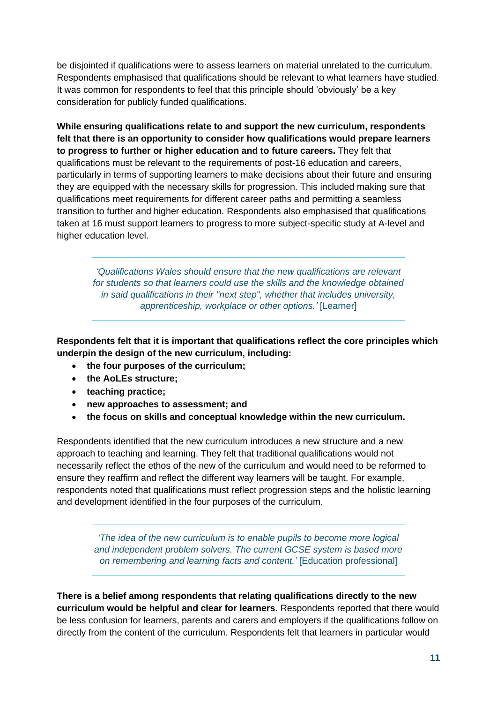be disjointed if qualifications were to assess learners on material unrelated to the curriculum. Respondents emphasised that qualifications should be relevant to what learners have studied. It was common for respondents to feel that this principle should 'obviously' be a key consideration for publicly funded qualifications.

**While ensuring qualifications relate to and support the new curriculum, respondents felt that there is an opportunity to consider how qualifications would prepare learners to progress to further or higher education and to future careers.** They felt that qualifications must be relevant to the requirements of post-16 education and careers, particularly in terms of supporting learners to make decisions about their future and ensuring they are equipped with the necessary skills for progression. This included making sure that qualifications meet requirements for different career paths and permitting a seamless transition to further and higher education. Respondents also emphasised that qualifications taken at 16 must support learners to progress to more subject-specific study at A-level and higher education level.

*'Qualifications Wales should ensure that the new qualifications are relevant for students so that learners could use the skills and the knowledge obtained in said qualifications in their "next step", whether that includes university, apprenticeship, workplace or other options.'* [Learner]

**Respondents felt that it is important that qualifications reflect the core principles which underpin the design of the new curriculum, including:** 

- **the four purposes of the curriculum;**
- **the AoLEs structure;**
- **teaching practice;**
- **new approaches to assessment; and**
- **the focus on skills and conceptual knowledge within the new curriculum.**

Respondents identified that the new curriculum introduces a new structure and a new approach to teaching and learning. They felt that traditional qualifications would not necessarily reflect the ethos of the new of the curriculum and would need to be reformed to ensure they reaffirm and reflect the different way learners will be taught. For example, respondents noted that qualifications must reflect progression steps and the holistic learning and development identified in the four purposes of the curriculum.

> *'The idea of the new curriculum is to enable pupils to become more logical and independent problem solvers. The current GCSE system is based more on remembering and learning facts and content.'* [Education professional]

**There is a belief among respondents that relating qualifications directly to the new curriculum would be helpful and clear for learners.** Respondents reported that there would be less confusion for learners, parents and carers and employers if the qualifications follow on directly from the content of the curriculum. Respondents felt that learners in particular would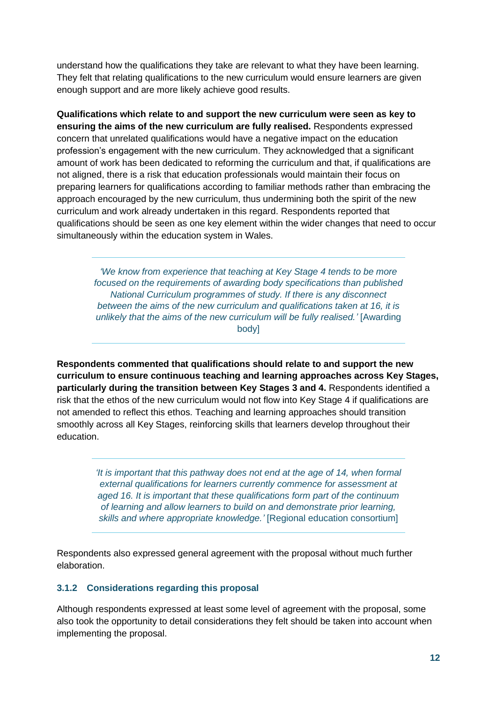understand how the qualifications they take are relevant to what they have been learning. They felt that relating qualifications to the new curriculum would ensure learners are given enough support and are more likely achieve good results.

**Qualifications which relate to and support the new curriculum were seen as key to ensuring the aims of the new curriculum are fully realised.** Respondents expressed concern that unrelated qualifications would have a negative impact on the education profession's engagement with the new curriculum. They acknowledged that a significant amount of work has been dedicated to reforming the curriculum and that, if qualifications are not aligned, there is a risk that education professionals would maintain their focus on preparing learners for qualifications according to familiar methods rather than embracing the approach encouraged by the new curriculum, thus undermining both the spirit of the new curriculum and work already undertaken in this regard. Respondents reported that qualifications should be seen as one key element within the wider changes that need to occur simultaneously within the education system in Wales.

*'We know from experience that teaching at Key Stage 4 tends to be more focused on the requirements of awarding body specifications than published National Curriculum programmes of study. If there is any disconnect between the aims of the new curriculum and qualifications taken at 16, it is unlikely that the aims of the new curriculum will be fully realised.'* [Awarding body]

**Respondents commented that qualifications should relate to and support the new curriculum to ensure continuous teaching and learning approaches across Key Stages, particularly during the transition between Key Stages 3 and 4.** Respondents identified a risk that the ethos of the new curriculum would not flow into Key Stage 4 if qualifications are not amended to reflect this ethos. Teaching and learning approaches should transition smoothly across all Key Stages, reinforcing skills that learners develop throughout their education.

> *'It is important that this pathway does not end at the age of 14, when formal external qualifications for learners currently commence for assessment at aged 16. It is important that these qualifications form part of the continuum of learning and allow learners to build on and demonstrate prior learning, skills and where appropriate knowledge.'* [Regional education consortium]

Respondents also expressed general agreement with the proposal without much further elaboration.

#### **3.1.2 Considerations regarding this proposal**

Although respondents expressed at least some level of agreement with the proposal, some also took the opportunity to detail considerations they felt should be taken into account when implementing the proposal.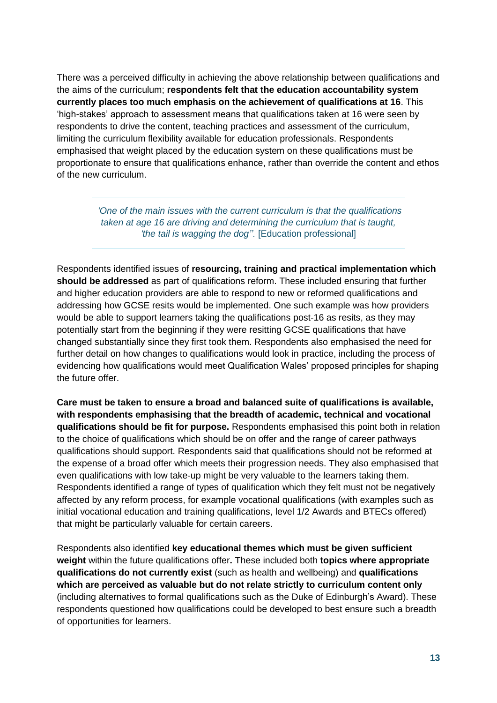There was a perceived difficulty in achieving the above relationship between qualifications and the aims of the curriculum; **respondents felt that the education accountability system currently places too much emphasis on the achievement of qualifications at 16**. This 'high-stakes' approach to assessment means that qualifications taken at 16 were seen by respondents to drive the content, teaching practices and assessment of the curriculum, limiting the curriculum flexibility available for education professionals. Respondents emphasised that weight placed by the education system on these qualifications must be proportionate to ensure that qualifications enhance, rather than override the content and ethos of the new curriculum.

> *'One of the main issues with the current curriculum is that the qualifications taken at age 16 are driving and determining the curriculum that is taught, 'the tail is wagging the dog''.* [Education professional]

Respondents identified issues of **resourcing, training and practical implementation which should be addressed** as part of qualifications reform. These included ensuring that further and higher education providers are able to respond to new or reformed qualifications and addressing how GCSE resits would be implemented. One such example was how providers would be able to support learners taking the qualifications post-16 as resits, as they may potentially start from the beginning if they were resitting GCSE qualifications that have changed substantially since they first took them. Respondents also emphasised the need for further detail on how changes to qualifications would look in practice, including the process of evidencing how qualifications would meet Qualification Wales' proposed principles for shaping the future offer.

**Care must be taken to ensure a broad and balanced suite of qualifications is available, with respondents emphasising that the breadth of academic, technical and vocational qualifications should be fit for purpose.** Respondents emphasised this point both in relation to the choice of qualifications which should be on offer and the range of career pathways qualifications should support. Respondents said that qualifications should not be reformed at the expense of a broad offer which meets their progression needs. They also emphasised that even qualifications with low take-up might be very valuable to the learners taking them. Respondents identified a range of types of qualification which they felt must not be negatively affected by any reform process, for example vocational qualifications (with examples such as initial vocational education and training qualifications, level 1/2 Awards and BTECs offered) that might be particularly valuable for certain careers.

Respondents also identified **key educational themes which must be given sufficient weight** within the future qualifications offer**.** These included both **topics where appropriate qualifications do not currently exist** (such as health and wellbeing) and **qualifications which are perceived as valuable but do not relate strictly to curriculum content only** (including alternatives to formal qualifications such as the Duke of Edinburgh's Award). These respondents questioned how qualifications could be developed to best ensure such a breadth of opportunities for learners.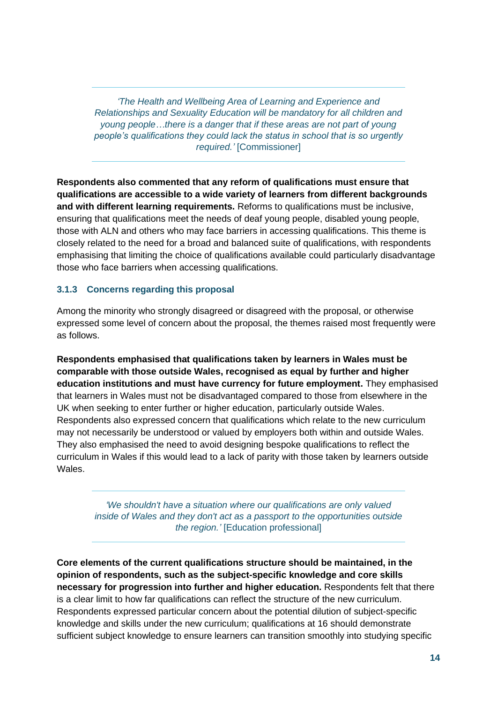*'The Health and Wellbeing Area of Learning and Experience and Relationships and Sexuality Education will be mandatory for all children and young people…there is a danger that if these areas are not part of young people's qualifications they could lack the status in school that is so urgently required.'* [Commissioner]

**Respondents also commented that any reform of qualifications must ensure that qualifications are accessible to a wide variety of learners from different backgrounds and with different learning requirements.** Reforms to qualifications must be inclusive, ensuring that qualifications meet the needs of deaf young people, disabled young people, those with ALN and others who may face barriers in accessing qualifications. This theme is closely related to the need for a broad and balanced suite of qualifications, with respondents emphasising that limiting the choice of qualifications available could particularly disadvantage those who face barriers when accessing qualifications.

#### **3.1.3 Concerns regarding this proposal**

Among the minority who strongly disagreed or disagreed with the proposal, or otherwise expressed some level of concern about the proposal, the themes raised most frequently were as follows.

**Respondents emphasised that qualifications taken by learners in Wales must be comparable with those outside Wales, recognised as equal by further and higher education institutions and must have currency for future employment.** They emphasised that learners in Wales must not be disadvantaged compared to those from elsewhere in the UK when seeking to enter further or higher education, particularly outside Wales. Respondents also expressed concern that qualifications which relate to the new curriculum may not necessarily be understood or valued by employers both within and outside Wales. They also emphasised the need to avoid designing bespoke qualifications to reflect the curriculum in Wales if this would lead to a lack of parity with those taken by learners outside Wales.

*'We shouldn't have a situation where our qualifications are only valued inside of Wales and they don't act as a passport to the opportunities outside the region.'* [Education professional]

**Core elements of the current qualifications structure should be maintained, in the opinion of respondents, such as the subject-specific knowledge and core skills necessary for progression into further and higher education.** Respondents felt that there is a clear limit to how far qualifications can reflect the structure of the new curriculum. Respondents expressed particular concern about the potential dilution of subject-specific knowledge and skills under the new curriculum; qualifications at 16 should demonstrate sufficient subject knowledge to ensure learners can transition smoothly into studying specific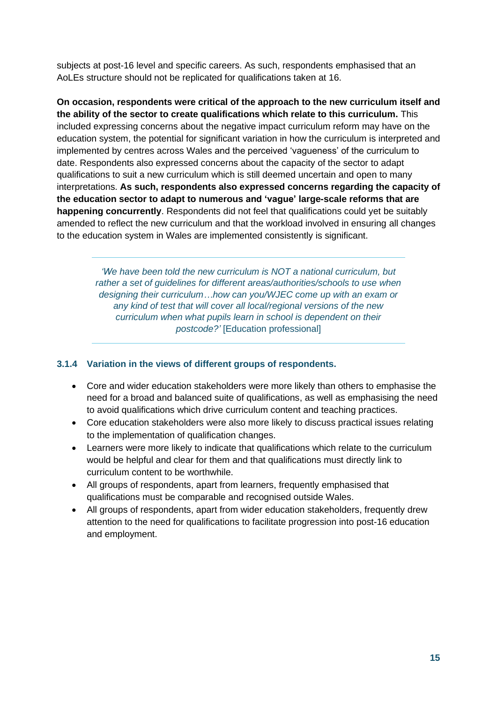subjects at post-16 level and specific careers. As such, respondents emphasised that an AoLEs structure should not be replicated for qualifications taken at 16.

**On occasion, respondents were critical of the approach to the new curriculum itself and the ability of the sector to create qualifications which relate to this curriculum.** This included expressing concerns about the negative impact curriculum reform may have on the education system, the potential for significant variation in how the curriculum is interpreted and implemented by centres across Wales and the perceived 'vagueness' of the curriculum to date. Respondents also expressed concerns about the capacity of the sector to adapt qualifications to suit a new curriculum which is still deemed uncertain and open to many interpretations. **As such, respondents also expressed concerns regarding the capacity of the education sector to adapt to numerous and 'vague' large-scale reforms that are happening concurrently**. Respondents did not feel that qualifications could yet be suitably amended to reflect the new curriculum and that the workload involved in ensuring all changes to the education system in Wales are implemented consistently is significant.

> *'We have been told the new curriculum is NOT a national curriculum, but rather a set of quidelines for different areas/authorities/schools to use when designing their curriculum…how can you/WJEC come up with an exam or any kind of test that will cover all local/regional versions of the new curriculum when what pupils learn in school is dependent on their postcode?'* [Education professional]

#### **3.1.4 Variation in the views of different groups of respondents.**

- Core and wider education stakeholders were more likely than others to emphasise the need for a broad and balanced suite of qualifications, as well as emphasising the need to avoid qualifications which drive curriculum content and teaching practices.
- Core education stakeholders were also more likely to discuss practical issues relating to the implementation of qualification changes.
- Learners were more likely to indicate that qualifications which relate to the curriculum would be helpful and clear for them and that qualifications must directly link to curriculum content to be worthwhile.
- All groups of respondents, apart from learners, frequently emphasised that qualifications must be comparable and recognised outside Wales.
- All groups of respondents, apart from wider education stakeholders, frequently drew attention to the need for qualifications to facilitate progression into post-16 education and employment.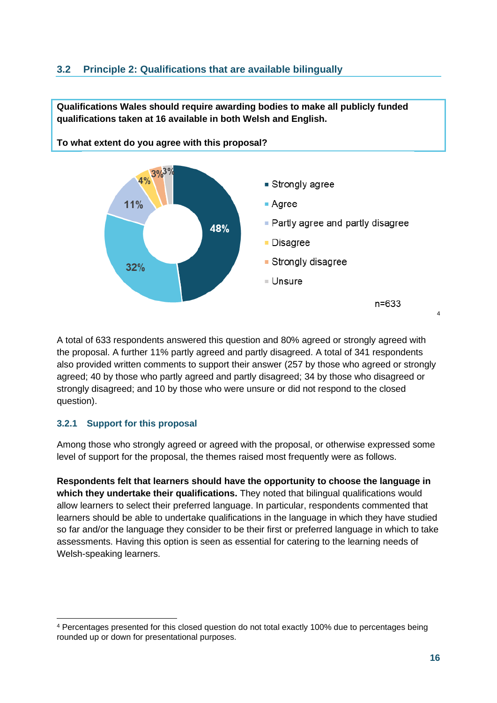### <span id="page-15-0"></span>**3.2 Principle 2: Qualifications that are available bilingually**



**Qualifications Wales should require awarding bodies to make all publicly funded** 

A total of 633 respondents answered this question and 80% agreed or strongly agreed with the proposal. A further 11% partly agreed and partly disagreed. A total of 341 respondents also provided written comments to support their answer (257 by those who agreed or strongly agreed; 40 by those who partly agreed and partly disagreed; 34 by those who disagreed or strongly disagreed; and 10 by those who were unsure or did not respond to the closed question).

### **3.2.1 Support for this proposal**

Among those who strongly agreed or agreed with the proposal, or otherwise expressed some level of support for the proposal, the themes raised most frequently were as follows.

**Respondents felt that learners should have the opportunity to choose the language in which they undertake their qualifications.** They noted that bilingual qualifications would allow learners to select their preferred language. In particular, respondents commented that learners should be able to undertake qualifications in the language in which they have studied so far and/or the language they consider to be their first or preferred language in which to take assessments. Having this option is seen as essential for catering to the learning needs of Welsh-speaking learners.

<sup>4</sup> Percentages presented for this closed question do not total exactly 100% due to percentages being rounded up or down for presentational purposes.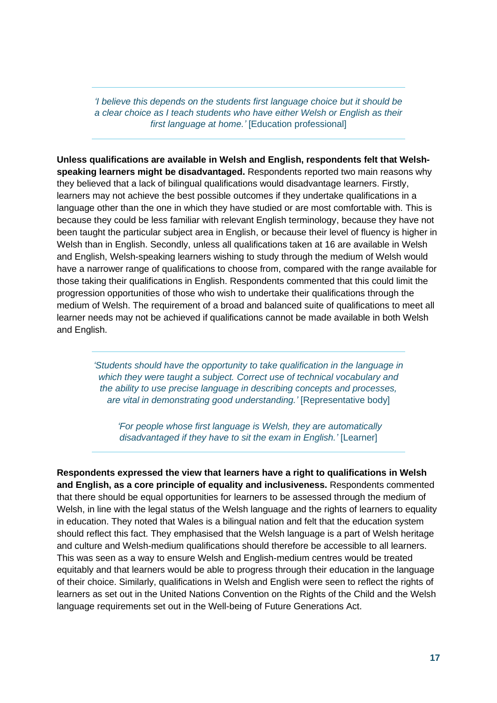*'I believe this depends on the students first language choice but it should be a clear choice as I teach students who have either Welsh or English as their first language at home.'* [Education professional]

**Unless qualifications are available in Welsh and English, respondents felt that Welshspeaking learners might be disadvantaged.** Respondents reported two main reasons why they believed that a lack of bilingual qualifications would disadvantage learners. Firstly, learners may not achieve the best possible outcomes if they undertake qualifications in a language other than the one in which they have studied or are most comfortable with. This is because they could be less familiar with relevant English terminology, because they have not been taught the particular subject area in English, or because their level of fluency is higher in Welsh than in English. Secondly, unless all qualifications taken at 16 are available in Welsh and English, Welsh-speaking learners wishing to study through the medium of Welsh would have a narrower range of qualifications to choose from, compared with the range available for those taking their qualifications in English. Respondents commented that this could limit the progression opportunities of those who wish to undertake their qualifications through the medium of Welsh. The requirement of a broad and balanced suite of qualifications to meet all learner needs may not be achieved if qualifications cannot be made available in both Welsh and English.

*'Students should have the opportunity to take qualification in the language in which they were taught a subject. Correct use of technical vocabulary and the ability to use precise language in describing concepts and processes, are vital in demonstrating good understanding.'* [Representative body]

*'For people whose first language is Welsh, they are automatically disadvantaged if they have to sit the exam in English.'* [Learner]

**Respondents expressed the view that learners have a right to qualifications in Welsh and English, as a core principle of equality and inclusiveness.** Respondents commented that there should be equal opportunities for learners to be assessed through the medium of Welsh, in line with the legal status of the Welsh language and the rights of learners to equality in education. They noted that Wales is a bilingual nation and felt that the education system should reflect this fact. They emphasised that the Welsh language is a part of Welsh heritage and culture and Welsh-medium qualifications should therefore be accessible to all learners. This was seen as a way to ensure Welsh and English-medium centres would be treated equitably and that learners would be able to progress through their education in the language of their choice. Similarly, qualifications in Welsh and English were seen to reflect the rights of learners as set out in the United Nations Convention on the Rights of the Child and the Welsh language requirements set out in the Well-being of Future Generations Act.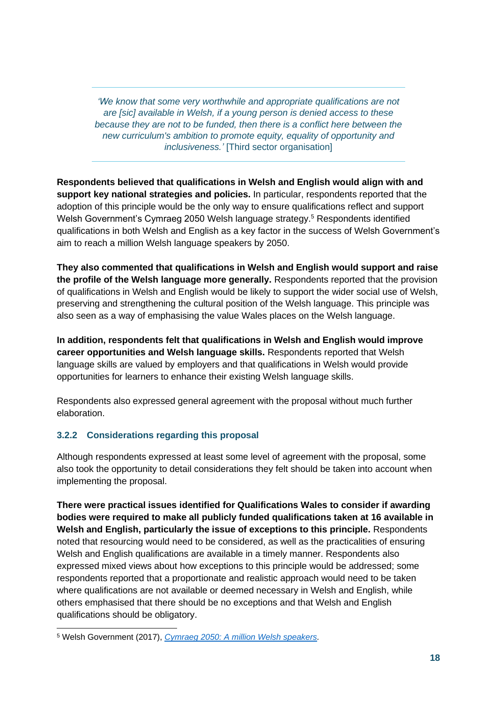*'We know that some very worthwhile and appropriate qualifications are not are [sic] available in Welsh, if a young person is denied access to these because they are not to be funded, then there is a conflict here between the new curriculum's ambition to promote equity, equality of opportunity and inclusiveness.'* [Third sector organisation]

**Respondents believed that qualifications in Welsh and English would align with and support key national strategies and policies.** In particular, respondents reported that the adoption of this principle would be the only way to ensure qualifications reflect and support Welsh Government's Cymraeg 2050 Welsh language strategy.<sup>5</sup> Respondents identified qualifications in both Welsh and English as a key factor in the success of Welsh Government's aim to reach a million Welsh language speakers by 2050.

**They also commented that qualifications in Welsh and English would support and raise the profile of the Welsh language more generally.** Respondents reported that the provision of qualifications in Welsh and English would be likely to support the wider social use of Welsh, preserving and strengthening the cultural position of the Welsh language. This principle was also seen as a way of emphasising the value Wales places on the Welsh language.

**In addition, respondents felt that qualifications in Welsh and English would improve career opportunities and Welsh language skills.** Respondents reported that Welsh language skills are valued by employers and that qualifications in Welsh would provide opportunities for learners to enhance their existing Welsh language skills.

Respondents also expressed general agreement with the proposal without much further elaboration.

#### **3.2.2 Considerations regarding this proposal**

Although respondents expressed at least some level of agreement with the proposal, some also took the opportunity to detail considerations they felt should be taken into account when implementing the proposal.

**There were practical issues identified for Qualifications Wales to consider if awarding bodies were required to make all publicly funded qualifications taken at 16 available in Welsh and English, particularly the issue of exceptions to this principle.** Respondents noted that resourcing would need to be considered, as well as the practicalities of ensuring Welsh and English qualifications are available in a timely manner. Respondents also expressed mixed views about how exceptions to this principle would be addressed; some respondents reported that a proportionate and realistic approach would need to be taken where qualifications are not available or deemed necessary in Welsh and English, while others emphasised that there should be no exceptions and that Welsh and English qualifications should be obligatory.

<sup>5</sup> Welsh Government (2017), *[Cymraeg 2050: A million Welsh](https://gov.wales/cymraeg-2050-welsh-language-strategy) speakers.*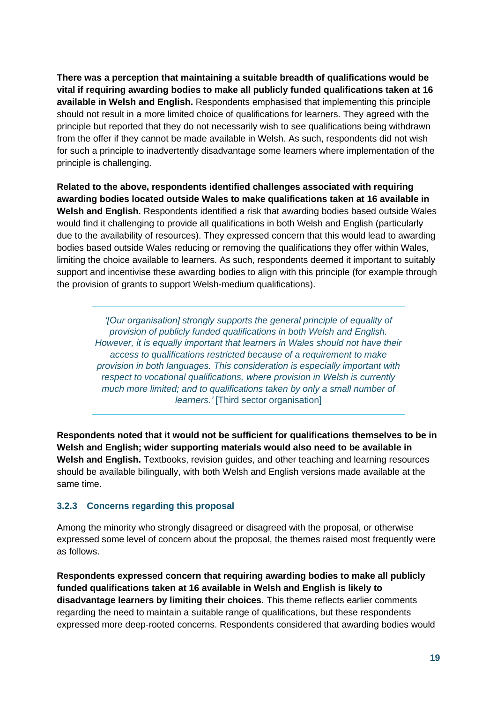**There was a perception that maintaining a suitable breadth of qualifications would be vital if requiring awarding bodies to make all publicly funded qualifications taken at 16 available in Welsh and English.** Respondents emphasised that implementing this principle should not result in a more limited choice of qualifications for learners. They agreed with the principle but reported that they do not necessarily wish to see qualifications being withdrawn from the offer if they cannot be made available in Welsh. As such, respondents did not wish for such a principle to inadvertently disadvantage some learners where implementation of the principle is challenging.

**Related to the above, respondents identified challenges associated with requiring awarding bodies located outside Wales to make qualifications taken at 16 available in Welsh and English.** Respondents identified a risk that awarding bodies based outside Wales would find it challenging to provide all qualifications in both Welsh and English (particularly due to the availability of resources). They expressed concern that this would lead to awarding bodies based outside Wales reducing or removing the qualifications they offer within Wales, limiting the choice available to learners. As such, respondents deemed it important to suitably support and incentivise these awarding bodies to align with this principle (for example through the provision of grants to support Welsh-medium qualifications).

*'[Our organisation] strongly supports the general principle of equality of provision of publicly funded qualifications in both Welsh and English. However, it is equally important that learners in Wales should not have their access to qualifications restricted because of a requirement to make provision in both languages. This consideration is especially important with respect to vocational qualifications, where provision in Welsh is currently much more limited; and to qualifications taken by only a small number of learners.'* [Third sector organisation]

**Respondents noted that it would not be sufficient for qualifications themselves to be in Welsh and English; wider supporting materials would also need to be available in Welsh and English.** Textbooks, revision guides, and other teaching and learning resources should be available bilingually, with both Welsh and English versions made available at the same time.

#### **3.2.3 Concerns regarding this proposal**

Among the minority who strongly disagreed or disagreed with the proposal, or otherwise expressed some level of concern about the proposal, the themes raised most frequently were as follows.

**Respondents expressed concern that requiring awarding bodies to make all publicly funded qualifications taken at 16 available in Welsh and English is likely to disadvantage learners by limiting their choices.** This theme reflects earlier comments regarding the need to maintain a suitable range of qualifications, but these respondents expressed more deep-rooted concerns. Respondents considered that awarding bodies would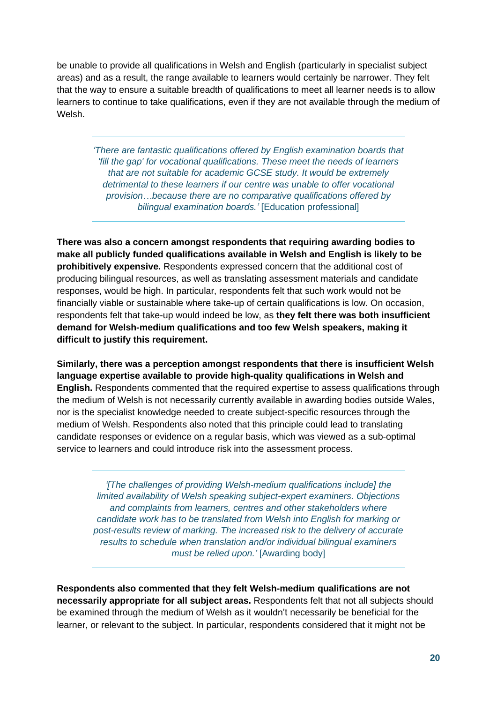be unable to provide all qualifications in Welsh and English (particularly in specialist subject areas) and as a result, the range available to learners would certainly be narrower. They felt that the way to ensure a suitable breadth of qualifications to meet all learner needs is to allow learners to continue to take qualifications, even if they are not available through the medium of Welsh.

*'There are fantastic qualifications offered by English examination boards that 'fill the gap' for vocational qualifications. These meet the needs of learners that are not suitable for academic GCSE study. It would be extremely detrimental to these learners if our centre was unable to offer vocational provision…because there are no comparative qualifications offered by bilingual examination boards.'* [Education professional]

**There was also a concern amongst respondents that requiring awarding bodies to make all publicly funded qualifications available in Welsh and English is likely to be prohibitively expensive.** Respondents expressed concern that the additional cost of producing bilingual resources, as well as translating assessment materials and candidate responses, would be high. In particular, respondents felt that such work would not be financially viable or sustainable where take-up of certain qualifications is low. On occasion, respondents felt that take-up would indeed be low, as **they felt there was both insufficient demand for Welsh-medium qualifications and too few Welsh speakers, making it difficult to justify this requirement.** 

**Similarly, there was a perception amongst respondents that there is insufficient Welsh language expertise available to provide high-quality qualifications in Welsh and English.** Respondents commented that the required expertise to assess qualifications through the medium of Welsh is not necessarily currently available in awarding bodies outside Wales, nor is the specialist knowledge needed to create subject-specific resources through the medium of Welsh. Respondents also noted that this principle could lead to translating candidate responses or evidence on a regular basis, which was viewed as a sub-optimal service to learners and could introduce risk into the assessment process.

*'[The challenges of providing Welsh-medium qualifications include] the limited availability of Welsh speaking subject-expert examiners. Objections and complaints from learners, centres and other stakeholders where candidate work has to be translated from Welsh into English for marking or post-results review of marking. The increased risk to the delivery of accurate results to schedule when translation and/or individual bilingual examiners must be relied upon.'* [Awarding body]

**Respondents also commented that they felt Welsh-medium qualifications are not necessarily appropriate for all subject areas.** Respondents felt that not all subjects should be examined through the medium of Welsh as it wouldn't necessarily be beneficial for the learner, or relevant to the subject. In particular, respondents considered that it might not be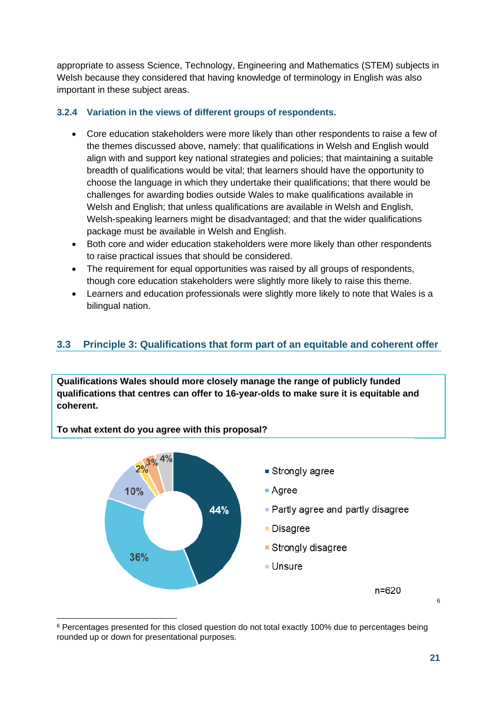appropriate to assess Science, Technology, Engineering and Mathematics (STEM) subjects in Welsh because they considered that having knowledge of terminology in English was also important in these subject areas.

#### **3.2.4 Variation in the views of different groups of respondents.**

- Core education stakeholders were more likely than other respondents to raise a few of the themes discussed above, namely: that qualifications in Welsh and English would align with and support key national strategies and policies; that maintaining a suitable breadth of qualifications would be vital; that learners should have the opportunity to choose the language in which they undertake their qualifications; that there would be challenges for awarding bodies outside Wales to make qualifications available in Welsh and English; that unless qualifications are available in Welsh and English, Welsh-speaking learners might be disadvantaged; and that the wider qualifications package must be available in Welsh and English.
- Both core and wider education stakeholders were more likely than other respondents to raise practical issues that should be considered.
- The requirement for equal opportunities was raised by all groups of respondents, though core education stakeholders were slightly more likely to raise this theme.
- Learners and education professionals were slightly more likely to note that Wales is a bilingual nation.

## <span id="page-20-0"></span>**3.3 Principle 3: Qualifications that form part of an equitable and coherent offer**

**Qualifications Wales should more closely manage the range of publicly funded qualifications that centres can offer to 16-year-olds to make sure it is equitable and coherent.** 

**To what extent do you agree with this proposal?** 



<sup>&</sup>lt;sup>6</sup> Percentages presented for this closed question do not total exactly 100% due to percentages being rounded up or down for presentational purposes.

6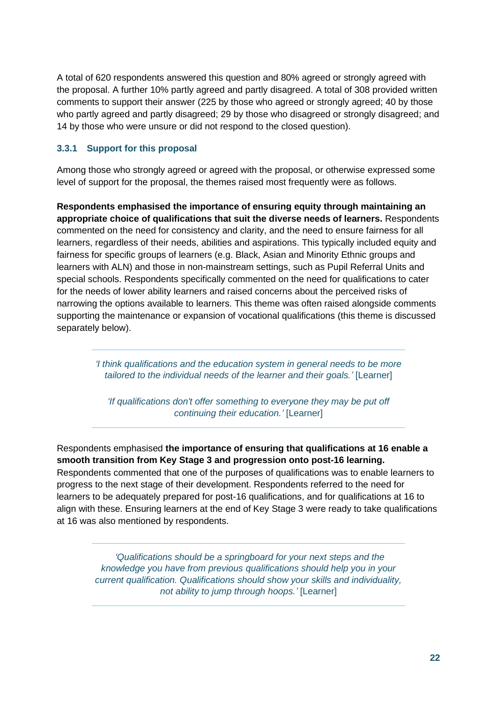A total of 620 respondents answered this question and 80% agreed or strongly agreed with the proposal. A further 10% partly agreed and partly disagreed. A total of 308 provided written comments to support their answer (225 by those who agreed or strongly agreed; 40 by those who partly agreed and partly disagreed; 29 by those who disagreed or strongly disagreed; and 14 by those who were unsure or did not respond to the closed question).

#### **3.3.1 Support for this proposal**

Among those who strongly agreed or agreed with the proposal, or otherwise expressed some level of support for the proposal, the themes raised most frequently were as follows.

**Respondents emphasised the importance of ensuring equity through maintaining an appropriate choice of qualifications that suit the diverse needs of learners.** Respondents commented on the need for consistency and clarity, and the need to ensure fairness for all learners, regardless of their needs, abilities and aspirations. This typically included equity and fairness for specific groups of learners (e.g. Black, Asian and Minority Ethnic groups and learners with ALN) and those in non-mainstream settings, such as Pupil Referral Units and special schools. Respondents specifically commented on the need for qualifications to cater for the needs of lower ability learners and raised concerns about the perceived risks of narrowing the options available to learners. This theme was often raised alongside comments supporting the maintenance or expansion of vocational qualifications (this theme is discussed separately below).

> *'I think qualifications and the education system in general needs to be more tailored to the individual needs of the learner and their goals.'* [Learner]

*'If qualifications don't offer something to everyone they may be put off continuing their education.'* [Learner]

Respondents emphasised **the importance of ensuring that qualifications at 16 enable a smooth transition from Key Stage 3 and progression onto post-16 learning.** Respondents commented that one of the purposes of qualifications was to enable learners to progress to the next stage of their development. Respondents referred to the need for learners to be adequately prepared for post-16 qualifications, and for qualifications at 16 to align with these. Ensuring learners at the end of Key Stage 3 were ready to take qualifications at 16 was also mentioned by respondents.

> *'Qualifications should be a springboard for your next steps and the knowledge you have from previous qualifications should help you in your current qualification. Qualifications should show your skills and individuality, not ability to jump through hoops.'* [Learner]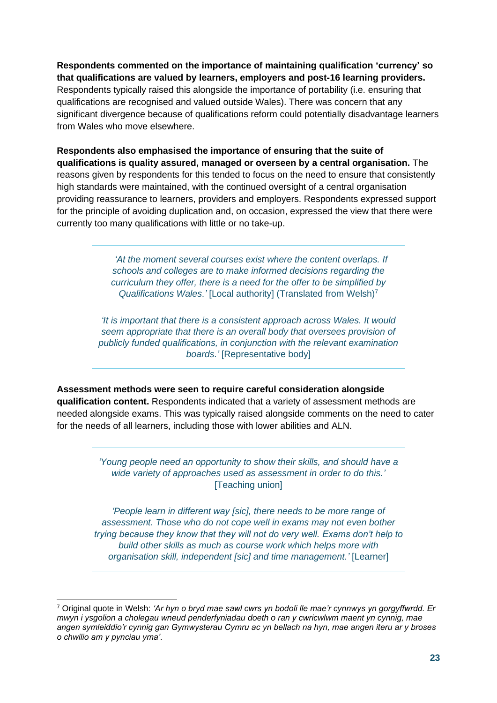**Respondents commented on the importance of maintaining qualification 'currency' so that qualifications are valued by learners, employers and post-16 learning providers.** Respondents typically raised this alongside the importance of portability (i.e. ensuring that qualifications are recognised and valued outside Wales). There was concern that any significant divergence because of qualifications reform could potentially disadvantage learners from Wales who move elsewhere.

**Respondents also emphasised the importance of ensuring that the suite of qualifications is quality assured, managed or overseen by a central organisation.** The reasons given by respondents for this tended to focus on the need to ensure that consistently high standards were maintained, with the continued oversight of a central organisation providing reassurance to learners, providers and employers. Respondents expressed support for the principle of avoiding duplication and, on occasion, expressed the view that there were currently too many qualifications with little or no take-up.

> *'At the moment several courses exist where the content overlaps. If schools and colleges are to make informed decisions regarding the curriculum they offer, there is a need for the offer to be simplified by Qualifications Wales.'* [Local authority] (Translated from Welsh)<sup>7</sup>

*'It is important that there is a consistent approach across Wales. It would seem appropriate that there is an overall body that oversees provision of publicly funded qualifications, in conjunction with the relevant examination boards.'* [Representative body]

**Assessment methods were seen to require careful consideration alongside qualification content.** Respondents indicated that a variety of assessment methods are needed alongside exams. This was typically raised alongside comments on the need to cater for the needs of all learners, including those with lower abilities and ALN.

> *'Young people need an opportunity to show their skills, and should have a wide variety of approaches used as assessment in order to do this.'* [Teaching union]

*'People learn in different way [sic], there needs to be more range of assessment. Those who do not cope well in exams may not even bother trying because they know that they will not do very well. Exams don't help to build other skills as much as course work which helps more with organisation skill, independent [sic] and time management.'* [Learner]

<sup>7</sup> Original quote in Welsh: *'Ar hyn o bryd mae sawl cwrs yn bodoli lle mae'r cynnwys yn gorgyffwrdd. Er mwyn i ysgolion a cholegau wneud penderfyniadau doeth o ran y cwricwlwm maent yn cynnig, mae angen symleiddio'r cynnig gan Gymwysterau Cymru ac yn bellach na hyn, mae angen iteru ar y broses o chwilio am y pynciau yma'*.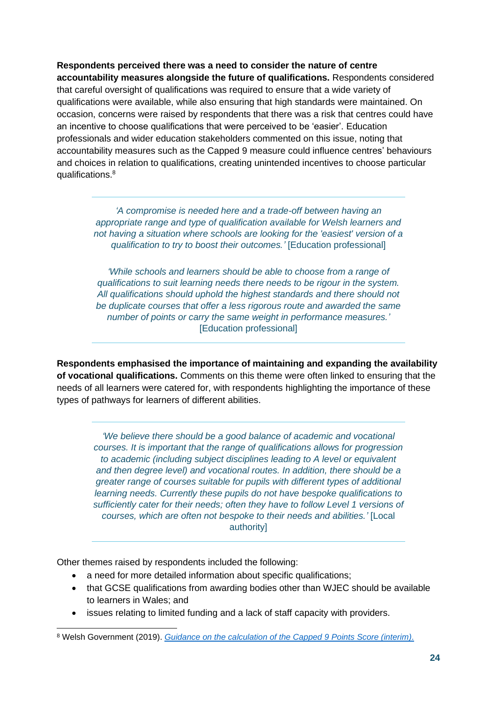**Respondents perceived there was a need to consider the nature of centre accountability measures alongside the future of qualifications.** Respondents considered that careful oversight of qualifications was required to ensure that a wide variety of qualifications were available, while also ensuring that high standards were maintained. On occasion, concerns were raised by respondents that there was a risk that centres could have an incentive to choose qualifications that were perceived to be 'easier'. Education professionals and wider education stakeholders commented on this issue, noting that accountability measures such as the Capped 9 measure could influence centres' behaviours and choices in relation to qualifications, creating unintended incentives to choose particular qualifications.<sup>8</sup>

*'A compromise is needed here and a trade-off between having an appropriate range and type of qualification available for Welsh learners and not having a situation where schools are looking for the 'easiest' version of a qualification to try to boost their outcomes.'* [Education professional]

*'While schools and learners should be able to choose from a range of qualifications to suit learning needs there needs to be rigour in the system. All qualifications should uphold the highest standards and there should not be duplicate courses that offer a less rigorous route and awarded the same number of points or carry the same weight in performance measures.'*  [Education professional]

**Respondents emphasised the importance of maintaining and expanding the availability of vocational qualifications.** Comments on this theme were often linked to ensuring that the needs of all learners were catered for, with respondents highlighting the importance of these types of pathways for learners of different abilities.

*'We believe there should be a good balance of academic and vocational courses. It is important that the range of qualifications allows for progression to academic (including subject disciplines leading to A level or equivalent and then degree level) and vocational routes. In addition, there should be a greater range of courses suitable for pupils with different types of additional learning needs. Currently these pupils do not have bespoke qualifications to sufficiently cater for their needs; often they have to follow Level 1 versions of courses, which are often not bespoke to their needs and abilities.'* [Local authority]

Other themes raised by respondents included the following:

- a need for more detailed information about specific qualifications;
- that GCSE qualifications from awarding bodies other than WJEC should be available to learners in Wales; and
- issues relating to limited funding and a lack of staff capacity with providers.

<sup>8</sup> Welsh Government (2019). *[Guidance on the calculation of the Capped 9 Points Score \(interim\).](https://gov.wales/capped-9-points-score-interim)*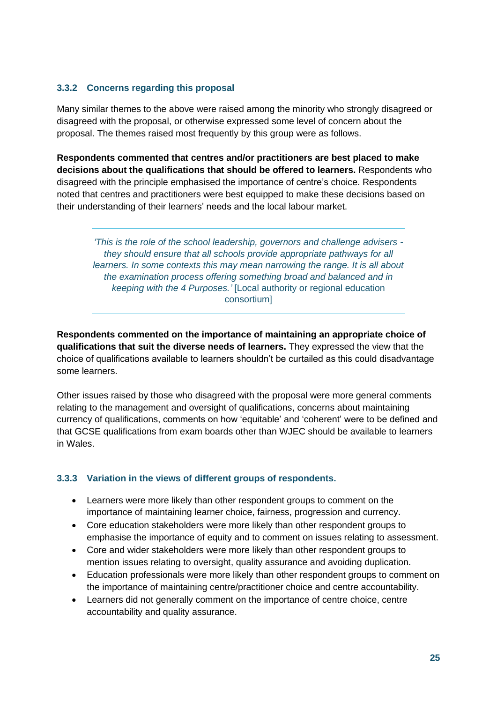#### **3.3.2 Concerns regarding this proposal**

Many similar themes to the above were raised among the minority who strongly disagreed or disagreed with the proposal, or otherwise expressed some level of concern about the proposal. The themes raised most frequently by this group were as follows.

**Respondents commented that centres and/or practitioners are best placed to make decisions about the qualifications that should be offered to learners.** Respondents who disagreed with the principle emphasised the importance of centre's choice. Respondents noted that centres and practitioners were best equipped to make these decisions based on their understanding of their learners' needs and the local labour market.

*'This is the role of the school leadership, governors and challenge advisers they should ensure that all schools provide appropriate pathways for all learners. In some contexts this may mean narrowing the range. It is all about the examination process offering something broad and balanced and in keeping with the 4 Purposes.'* [Local authority or regional education consortium]

**Respondents commented on the importance of maintaining an appropriate choice of qualifications that suit the diverse needs of learners.** They expressed the view that the choice of qualifications available to learners shouldn't be curtailed as this could disadvantage some learners.

Other issues raised by those who disagreed with the proposal were more general comments relating to the management and oversight of qualifications, concerns about maintaining currency of qualifications, comments on how 'equitable' and 'coherent' were to be defined and that GCSE qualifications from exam boards other than WJEC should be available to learners in Wales.

#### **3.3.3 Variation in the views of different groups of respondents.**

- Learners were more likely than other respondent groups to comment on the importance of maintaining learner choice, fairness, progression and currency.
- Core education stakeholders were more likely than other respondent groups to emphasise the importance of equity and to comment on issues relating to assessment.
- Core and wider stakeholders were more likely than other respondent groups to mention issues relating to oversight, quality assurance and avoiding duplication.
- Education professionals were more likely than other respondent groups to comment on the importance of maintaining centre/practitioner choice and centre accountability.
- Learners did not generally comment on the importance of centre choice, centre accountability and quality assurance.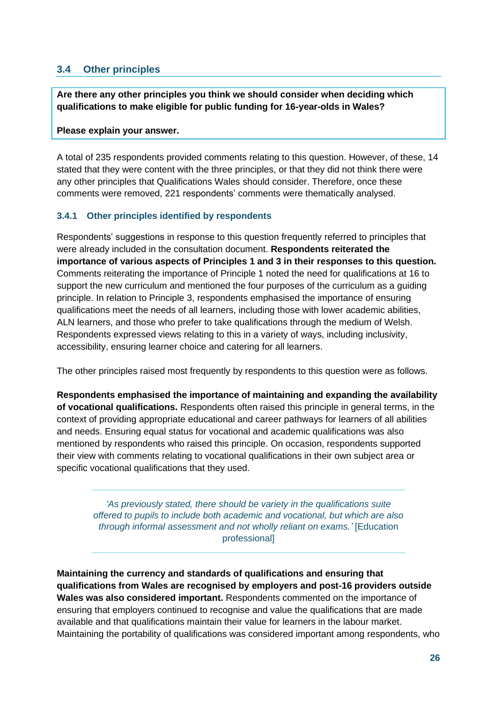### <span id="page-25-0"></span>**3.4 Other principles**

**Are there any other principles you think we should consider when deciding which qualifications to make eligible for public funding for 16-year-olds in Wales?** 

#### **Please explain your answer.**

A total of 235 respondents provided comments relating to this question. However, of these, 14 stated that they were content with the three principles, or that they did not think there were any other principles that Qualifications Wales should consider. Therefore, once these comments were removed, 221 respondents' comments were thematically analysed.

#### **3.4.1 Other principles identified by respondents**

Respondents' suggestions in response to this question frequently referred to principles that were already included in the consultation document. **Respondents reiterated the importance of various aspects of Principles 1 and 3 in their responses to this question.**  Comments reiterating the importance of Principle 1 noted the need for qualifications at 16 to support the new curriculum and mentioned the four purposes of the curriculum as a guiding principle. In relation to Principle 3, respondents emphasised the importance of ensuring qualifications meet the needs of all learners, including those with lower academic abilities, ALN learners, and those who prefer to take qualifications through the medium of Welsh. Respondents expressed views relating to this in a variety of ways, including inclusivity, accessibility, ensuring learner choice and catering for all learners.

The other principles raised most frequently by respondents to this question were as follows.

**Respondents emphasised the importance of maintaining and expanding the availability of vocational qualifications.** Respondents often raised this principle in general terms, in the context of providing appropriate educational and career pathways for learners of all abilities and needs. Ensuring equal status for vocational and academic qualifications was also mentioned by respondents who raised this principle. On occasion, respondents supported their view with comments relating to vocational qualifications in their own subject area or specific vocational qualifications that they used.

*'As previously stated, there should be variety in the qualifications suite offered to pupils to include both academic and vocational, but which are also through informal assessment and not wholly reliant on exams.'* [Education professional]

**Maintaining the currency and standards of qualifications and ensuring that qualifications from Wales are recognised by employers and post-16 providers outside Wales was also considered important.** Respondents commented on the importance of ensuring that employers continued to recognise and value the qualifications that are made available and that qualifications maintain their value for learners in the labour market. Maintaining the portability of qualifications was considered important among respondents, who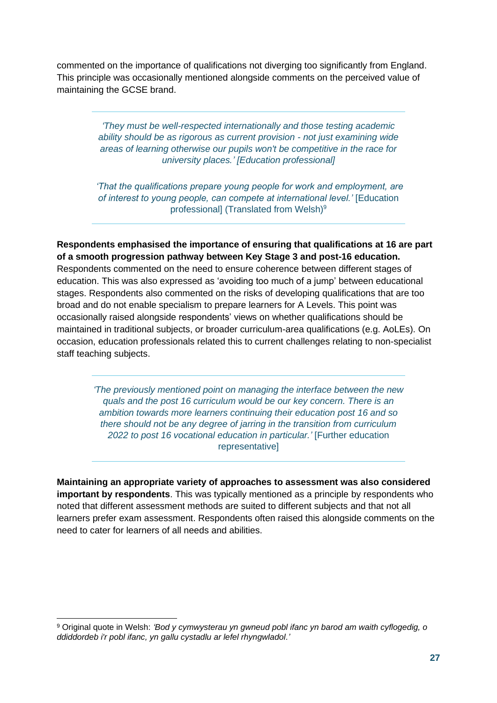commented on the importance of qualifications not diverging too significantly from England. This principle was occasionally mentioned alongside comments on the perceived value of maintaining the GCSE brand.

> *'They must be well-respected internationally and those testing academic ability should be as rigorous as current provision - not just examining wide areas of learning otherwise our pupils won't be competitive in the race for university places.' [Education professional]*

*'That the qualifications prepare young people for work and employment, are of interest to young people, can compete at international level.'* [Education professionall (Translated from Welsh)<sup>9</sup>

**Respondents emphasised the importance of ensuring that qualifications at 16 are part of a smooth progression pathway between Key Stage 3 and post-16 education.** Respondents commented on the need to ensure coherence between different stages of education. This was also expressed as 'avoiding too much of a jump' between educational stages. Respondents also commented on the risks of developing qualifications that are too broad and do not enable specialism to prepare learners for A Levels. This point was occasionally raised alongside respondents' views on whether qualifications should be maintained in traditional subjects, or broader curriculum-area qualifications (e.g. AoLEs). On occasion, education professionals related this to current challenges relating to non-specialist staff teaching subjects.

*'The previously mentioned point on managing the interface between the new quals and the post 16 curriculum would be our key concern. There is an ambition towards more learners continuing their education post 16 and so there should not be any degree of jarring in the transition from curriculum 2022 to post 16 vocational education in particular.'* [Further education representative]

**Maintaining an appropriate variety of approaches to assessment was also considered important by respondents**. This was typically mentioned as a principle by respondents who noted that different assessment methods are suited to different subjects and that not all learners prefer exam assessment. Respondents often raised this alongside comments on the need to cater for learners of all needs and abilities.

<sup>9</sup> Original quote in Welsh: *'Bod y cymwysterau yn gwneud pobl ifanc yn barod am waith cyflogedig, o ddiddordeb i'r pobl ifanc, yn gallu cystadlu ar lefel rhyngwladol.'*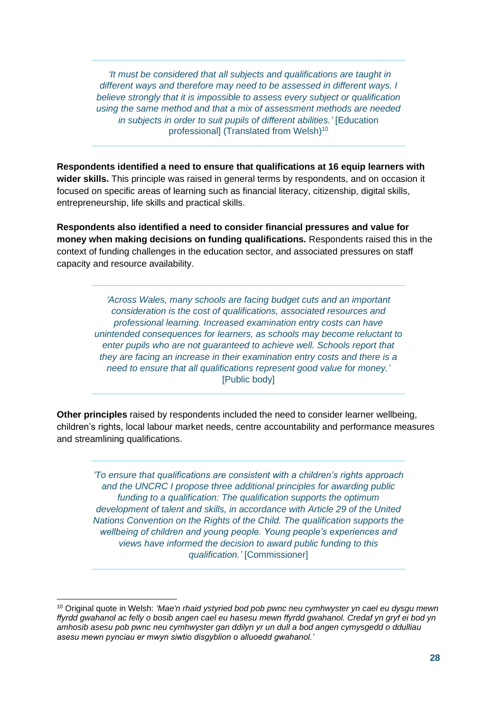*'It must be considered that all subjects and qualifications are taught in different ways and therefore may need to be assessed in different ways. I believe strongly that it is impossible to assess every subject or qualification using the same method and that a mix of assessment methods are needed in subjects in order to suit pupils of different abilities.'* [Education professional] (Translated from Welsh)<sup>10</sup>

**Respondents identified a need to ensure that qualifications at 16 equip learners with wider skills.** This principle was raised in general terms by respondents, and on occasion it focused on specific areas of learning such as financial literacy, citizenship, digital skills, entrepreneurship, life skills and practical skills.

**Respondents also identified a need to consider financial pressures and value for money when making decisions on funding qualifications.** Respondents raised this in the context of funding challenges in the education sector, and associated pressures on staff capacity and resource availability.

> *'Across Wales, many schools are facing budget cuts and an important consideration is the cost of qualifications, associated resources and professional learning. Increased examination entry costs can have unintended consequences for learners, as schools may become reluctant to enter pupils who are not guaranteed to achieve well. Schools report that they are facing an increase in their examination entry costs and there is a need to ensure that all qualifications represent good value for money.'* [Public body]

**Other principles** raised by respondents included the need to consider learner wellbeing, children's rights, local labour market needs, centre accountability and performance measures and streamlining qualifications.

*'To ensure that qualifications are consistent with a children's rights approach and the UNCRC I propose three additional principles for awarding public funding to a qualification: The qualification supports the optimum development of talent and skills, in accordance with Article 29 of the United Nations Convention on the Rights of the Child. The qualification supports the wellbeing of children and young people. Young people's experiences and views have informed the decision to award public funding to this qualification.'* [Commissioner]

<sup>10</sup> Original quote in Welsh: *'Mae'n rhaid ystyried bod pob pwnc neu cymhwyster yn cael eu dysgu mewn ffyrdd gwahanol ac felly o bosib angen cael eu hasesu mewn ffyrdd gwahanol. Credaf yn gryf ei bod yn amhosib asesu pob pwnc neu cymhwyster gan ddilyn yr un dull a bod angen cymysgedd o ddulliau asesu mewn pynciau er mwyn siwtio disgyblion o alluoedd gwahanol.'*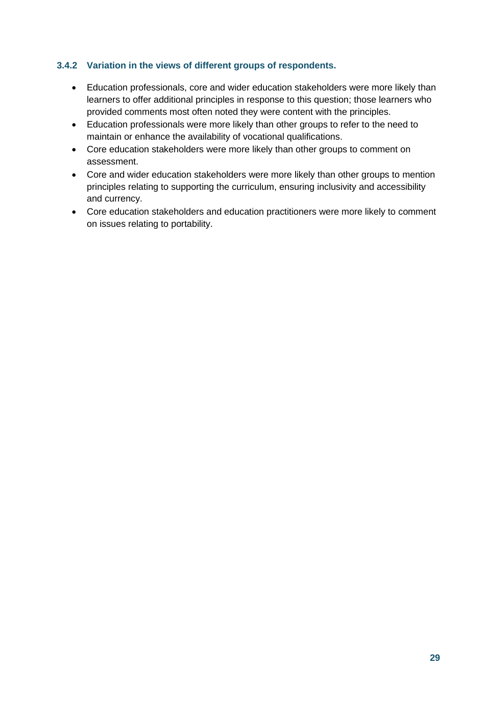#### **3.4.2 Variation in the views of different groups of respondents.**

- Education professionals, core and wider education stakeholders were more likely than learners to offer additional principles in response to this question; those learners who provided comments most often noted they were content with the principles.
- Education professionals were more likely than other groups to refer to the need to maintain or enhance the availability of vocational qualifications.
- Core education stakeholders were more likely than other groups to comment on assessment.
- Core and wider education stakeholders were more likely than other groups to mention principles relating to supporting the curriculum, ensuring inclusivity and accessibility and currency.
- Core education stakeholders and education practitioners were more likely to comment on issues relating to portability.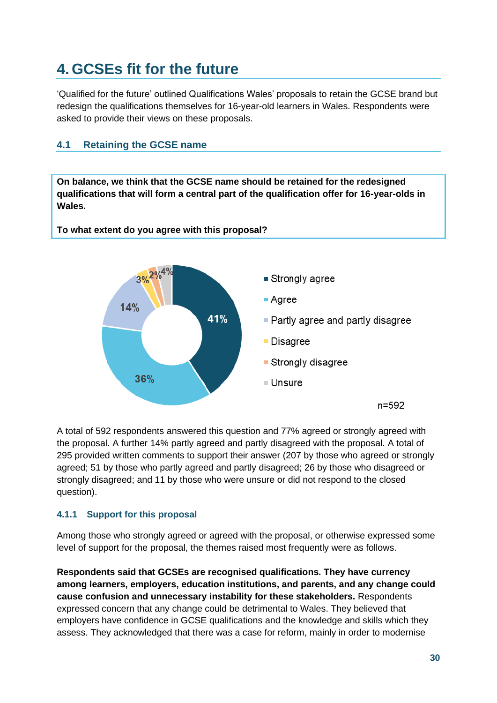# <span id="page-29-0"></span>**4. GCSEs fit for the future**

'Qualified for the future' outlined Qualifications Wales' proposals to retain the GCSE brand but redesign the qualifications themselves for 16-year-old learners in Wales. Respondents were asked to provide their views on these proposals.

## <span id="page-29-1"></span>**4.1 Retaining the GCSE name**

**On balance, we think that the GCSE name should be retained for the redesigned qualifications that will form a central part of the qualification offer for 16-year-olds in Wales.** 

**To what extent do you agree with this proposal?**



A total of 592 respondents answered this question and 77% agreed or strongly agreed with the proposal. A further 14% partly agreed and partly disagreed with the proposal. A total of 295 provided written comments to support their answer (207 by those who agreed or strongly agreed; 51 by those who partly agreed and partly disagreed; 26 by those who disagreed or strongly disagreed; and 11 by those who were unsure or did not respond to the closed question).

#### **4.1.1 Support for this proposal**

Among those who strongly agreed or agreed with the proposal, or otherwise expressed some level of support for the proposal, the themes raised most frequently were as follows.

**Respondents said that GCSEs are recognised qualifications. They have currency among learners, employers, education institutions, and parents, and any change could cause confusion and unnecessary instability for these stakeholders.** Respondents expressed concern that any change could be detrimental to Wales. They believed that employers have confidence in GCSE qualifications and the knowledge and skills which they assess. They acknowledged that there was a case for reform, mainly in order to modernise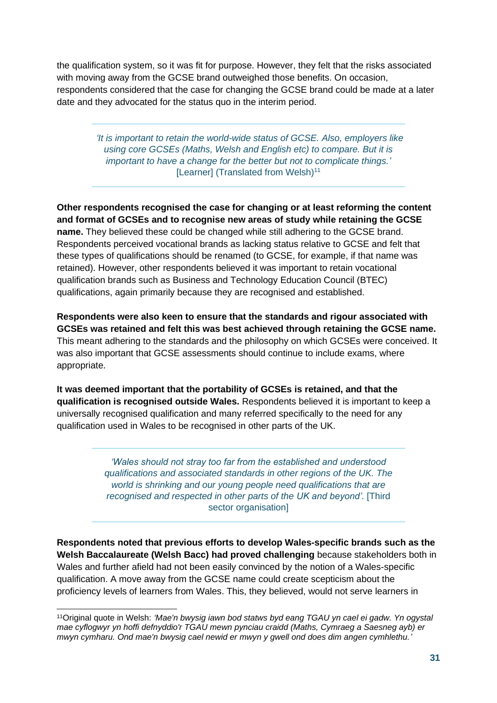the qualification system, so it was fit for purpose. However, they felt that the risks associated with moving away from the GCSE brand outweighed those benefits. On occasion, respondents considered that the case for changing the GCSE brand could be made at a later date and they advocated for the status quo in the interim period.

> *'It is important to retain the world-wide status of GCSE. Also, employers like using core GCSEs (Maths, Welsh and English etc) to compare. But it is important to have a change for the better but not to complicate things.'*  [Learner] (Translated from Welsh)<sup>11</sup>

**Other respondents recognised the case for changing or at least reforming the content and format of GCSEs and to recognise new areas of study while retaining the GCSE name.** They believed these could be changed while still adhering to the GCSE brand. Respondents perceived vocational brands as lacking status relative to GCSE and felt that these types of qualifications should be renamed (to GCSE, for example, if that name was retained). However, other respondents believed it was important to retain vocational qualification brands such as Business and Technology Education Council (BTEC) qualifications, again primarily because they are recognised and established.

**Respondents were also keen to ensure that the standards and rigour associated with GCSEs was retained and felt this was best achieved through retaining the GCSE name.** This meant adhering to the standards and the philosophy on which GCSEs were conceived. It was also important that GCSE assessments should continue to include exams, where appropriate.

**It was deemed important that the portability of GCSEs is retained, and that the qualification is recognised outside Wales.** Respondents believed it is important to keep a universally recognised qualification and many referred specifically to the need for any qualification used in Wales to be recognised in other parts of the UK.

> *'Wales should not stray too far from the established and understood qualifications and associated standards in other regions of the UK. The world is shrinking and our young people need qualifications that are recognised and respected in other parts of the UK and beyond'.* [Third sector organisation]

**Respondents noted that previous efforts to develop Wales-specific brands such as the Welsh Baccalaureate (Welsh Bacc) had proved challenging** because stakeholders both in Wales and further afield had not been easily convinced by the notion of a Wales-specific qualification. A move away from the GCSE name could create scepticism about the proficiency levels of learners from Wales. This, they believed, would not serve learners in

<sup>11</sup>Original quote in Welsh: *'Mae'n bwysig iawn bod statws byd eang TGAU yn cael ei gadw. Yn ogystal mae cyflogwyr yn hoffi defnyddio'r TGAU mewn pynciau craidd (Maths, Cymraeg a Saesneg ayb) er mwyn cymharu. Ond mae'n bwysig cael newid er mwyn y gwell ond does dim angen cymhlethu.'*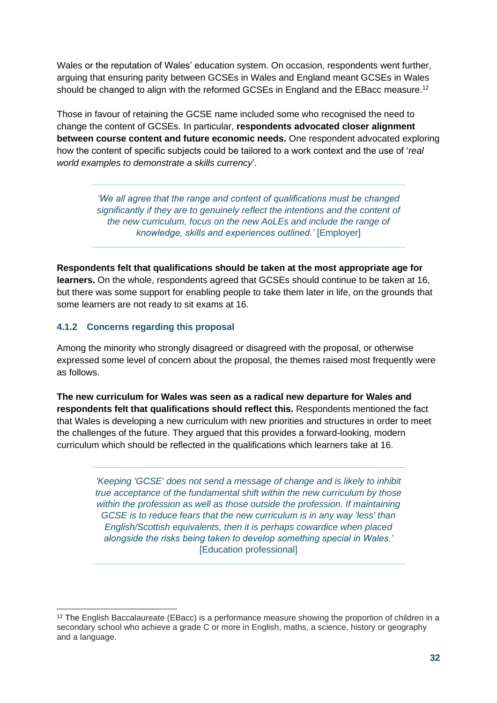Wales or the reputation of Wales' education system. On occasion, respondents went further, arguing that ensuring parity between GCSEs in Wales and England meant GCSEs in Wales should be changed to align with the reformed GCSEs in England and the EBacc measure.<sup>12</sup>

Those in favour of retaining the GCSE name included some who recognised the need to change the content of GCSEs. In particular, **respondents advocated closer alignment between course content and future economic needs.** One respondent advocated exploring how the content of specific subjects could be tailored to a work context and the use of '*real world examples to demonstrate a skills currency*'.

> *'We all agree that the range and content of qualifications must be changed significantly if they are to genuinely reflect the intentions and the content of the new curriculum, focus on the new AoLEs and include the range of knowledge, skills and experiences outlined.'* [Employer]

**Respondents felt that qualifications should be taken at the most appropriate age for learners.** On the whole, respondents agreed that GCSEs should continue to be taken at 16, but there was some support for enabling people to take them later in life, on the grounds that some learners are not ready to sit exams at 16.

#### **4.1.2 Concerns regarding this proposal**

Among the minority who strongly disagreed or disagreed with the proposal, or otherwise expressed some level of concern about the proposal, the themes raised most frequently were as follows.

**The new curriculum for Wales was seen as a radical new departure for Wales and respondents felt that qualifications should reflect this.** Respondents mentioned the fact that Wales is developing a new curriculum with new priorities and structures in order to meet the challenges of the future. They argued that this provides a forward-looking, modern curriculum which should be reflected in the qualifications which learners take at 16.

> *'Keeping 'GCSE' does not send a message of change and is likely to inhibit true acceptance of the fundamental shift within the new curriculum by those within the profession as well as those outside the profession. If maintaining GCSE is to reduce fears that the new curriculum is in any way 'less' than English/Scottish equivalents, then it is perhaps cowardice when placed alongside the risks being taken to develop something special in Wales.'*  [Education professional]

<sup>&</sup>lt;sup>12</sup> The English Baccalaureate (EBacc) is a performance measure showing the proportion of children in a secondary school who achieve a grade C or more in English, maths, a science, history or geography and a language.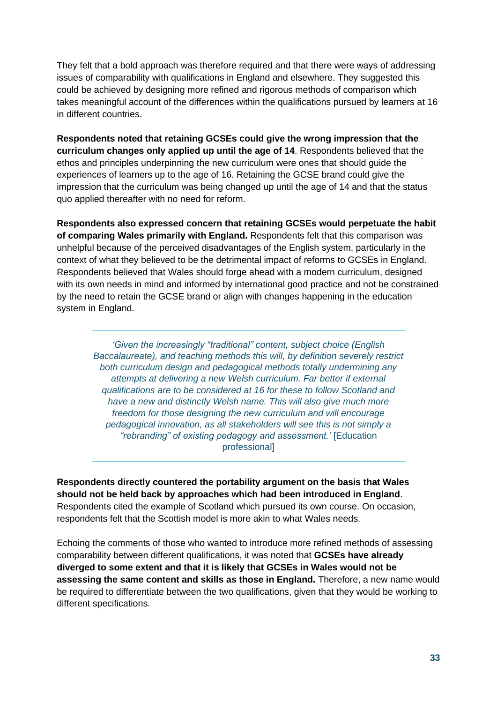They felt that a bold approach was therefore required and that there were ways of addressing issues of comparability with qualifications in England and elsewhere. They suggested this could be achieved by designing more refined and rigorous methods of comparison which takes meaningful account of the differences within the qualifications pursued by learners at 16 in different countries.

**Respondents noted that retaining GCSEs could give the wrong impression that the curriculum changes only applied up until the age of 14**. Respondents believed that the ethos and principles underpinning the new curriculum were ones that should guide the experiences of learners up to the age of 16. Retaining the GCSE brand could give the impression that the curriculum was being changed up until the age of 14 and that the status quo applied thereafter with no need for reform.

**Respondents also expressed concern that retaining GCSEs would perpetuate the habit of comparing Wales primarily with England.** Respondents felt that this comparison was unhelpful because of the perceived disadvantages of the English system, particularly in the context of what they believed to be the detrimental impact of reforms to GCSEs in England. Respondents believed that Wales should forge ahead with a modern curriculum, designed with its own needs in mind and informed by international good practice and not be constrained by the need to retain the GCSE brand or align with changes happening in the education system in England.

*'Given the increasingly "traditional" content, subject choice (English Baccalaureate), and teaching methods this will, by definition severely restrict both curriculum design and pedagogical methods totally undermining any attempts at delivering a new Welsh curriculum. Far better if external qualifications are to be considered at 16 for these to follow Scotland and have a new and distinctly Welsh name. This will also give much more freedom for those designing the new curriculum and will encourage pedagogical innovation, as all stakeholders will see this is not simply a "rebranding" of existing pedagogy and assessment.'* [Education professional]

**Respondents directly countered the portability argument on the basis that Wales should not be held back by approaches which had been introduced in England**. Respondents cited the example of Scotland which pursued its own course. On occasion, respondents felt that the Scottish model is more akin to what Wales needs.

Echoing the comments of those who wanted to introduce more refined methods of assessing comparability between different qualifications, it was noted that **GCSEs have already diverged to some extent and that it is likely that GCSEs in Wales would not be assessing the same content and skills as those in England.** Therefore, a new name would be required to differentiate between the two qualifications, given that they would be working to different specifications.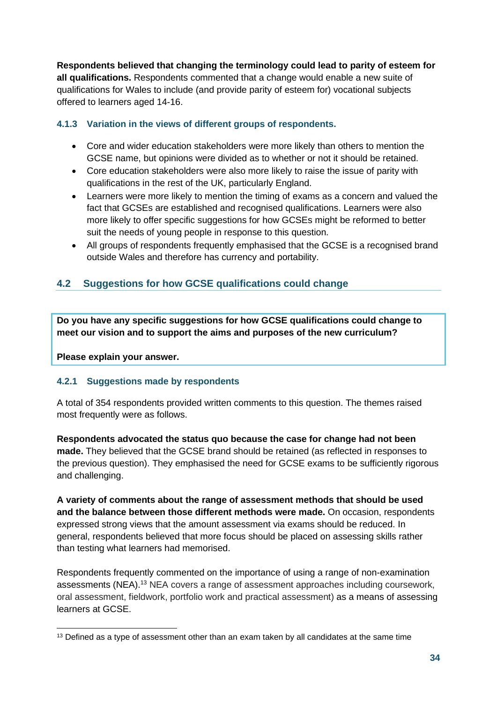**Respondents believed that changing the terminology could lead to parity of esteem for all qualifications.** Respondents commented that a change would enable a new suite of qualifications for Wales to include (and provide parity of esteem for) vocational subjects offered to learners aged 14-16.

#### **4.1.3 Variation in the views of different groups of respondents.**

- Core and wider education stakeholders were more likely than others to mention the GCSE name, but opinions were divided as to whether or not it should be retained.
- Core education stakeholders were also more likely to raise the issue of parity with qualifications in the rest of the UK, particularly England.
- Learners were more likely to mention the timing of exams as a concern and valued the fact that GCSEs are established and recognised qualifications. Learners were also more likely to offer specific suggestions for how GCSEs might be reformed to better suit the needs of young people in response to this question.
- All groups of respondents frequently emphasised that the GCSE is a recognised brand outside Wales and therefore has currency and portability.

# <span id="page-33-0"></span>**4.2 Suggestions for how GCSE qualifications could change**

**Do you have any specific suggestions for how GCSE qualifications could change to meet our vision and to support the aims and purposes of the new curriculum?** 

**Please explain your answer.**

#### **4.2.1 Suggestions made by respondents**

A total of 354 respondents provided written comments to this question. The themes raised most frequently were as follows.

**Respondents advocated the status quo because the case for change had not been made.** They believed that the GCSE brand should be retained (as reflected in responses to the previous question). They emphasised the need for GCSE exams to be sufficiently rigorous and challenging.

**A variety of comments about the range of assessment methods that should be used and the balance between those different methods were made.** On occasion, respondents expressed strong views that the amount assessment via exams should be reduced. In general, respondents believed that more focus should be placed on assessing skills rather than testing what learners had memorised.

Respondents frequently commented on the importance of using a range of non-examination assessments (NEA).<sup>13</sup> NEA covers a range of assessment approaches including coursework, oral assessment, fieldwork, portfolio work and practical assessment) as a means of assessing learners at GCSE.

 $13$  Defined as a type of assessment other than an exam taken by all candidates at the same time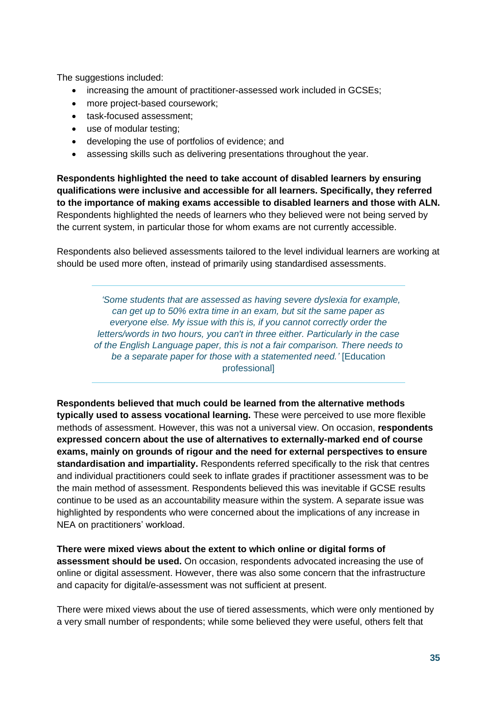The suggestions included:

- increasing the amount of practitioner-assessed work included in GCSEs;
- more project-based coursework;
- task-focused assessment;
- use of modular testing;
- developing the use of portfolios of evidence; and
- assessing skills such as delivering presentations throughout the year.

**Respondents highlighted the need to take account of disabled learners by ensuring qualifications were inclusive and accessible for all learners. Specifically, they referred to the importance of making exams accessible to disabled learners and those with ALN.** Respondents highlighted the needs of learners who they believed were not being served by the current system, in particular those for whom exams are not currently accessible.

Respondents also believed assessments tailored to the level individual learners are working at should be used more often, instead of primarily using standardised assessments.

 *'Some students that are assessed as having severe dyslexia for example, can get up to 50% extra time in an exam, but sit the same paper as everyone else. My issue with this is, if you cannot correctly order the letters/words in two hours, you can't in three either. Particularly in the case of the English Language paper, this is not a fair comparison. There needs to be a separate paper for those with a statemented need.'* [Education professional]

**Respondents believed that much could be learned from the alternative methods typically used to assess vocational learning.** These were perceived to use more flexible methods of assessment. However, this was not a universal view. On occasion, **respondents expressed concern about the use of alternatives to externally-marked end of course exams, mainly on grounds of rigour and the need for external perspectives to ensure standardisation and impartiality.** Respondents referred specifically to the risk that centres and individual practitioners could seek to inflate grades if practitioner assessment was to be the main method of assessment. Respondents believed this was inevitable if GCSE results continue to be used as an accountability measure within the system. A separate issue was highlighted by respondents who were concerned about the implications of any increase in NEA on practitioners' workload.

**There were mixed views about the extent to which online or digital forms of assessment should be used.** On occasion, respondents advocated increasing the use of online or digital assessment. However, there was also some concern that the infrastructure and capacity for digital/e-assessment was not sufficient at present.

There were mixed views about the use of tiered assessments, which were only mentioned by a very small number of respondents; while some believed they were useful, others felt that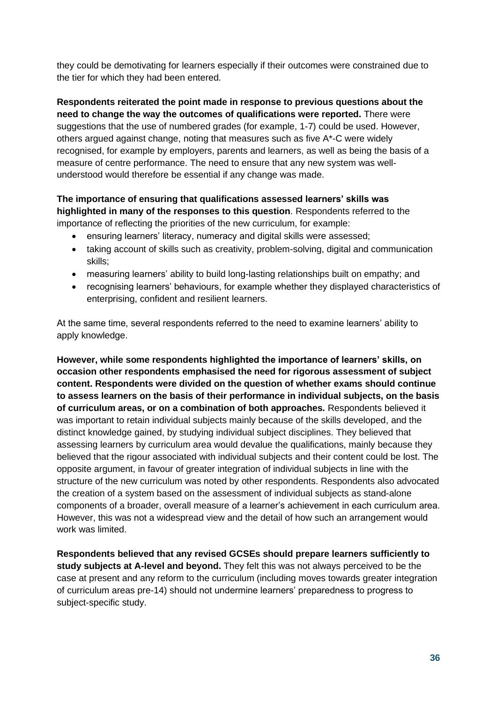they could be demotivating for learners especially if their outcomes were constrained due to the tier for which they had been entered.

**Respondents reiterated the point made in response to previous questions about the need to change the way the outcomes of qualifications were reported.** There were suggestions that the use of numbered grades (for example, 1-7) could be used. However, others argued against change, noting that measures such as five A\*-C were widely recognised, for example by employers, parents and learners, as well as being the basis of a measure of centre performance. The need to ensure that any new system was wellunderstood would therefore be essential if any change was made.

#### **The importance of ensuring that qualifications assessed learners' skills was highlighted in many of the responses to this question**. Respondents referred to the importance of reflecting the priorities of the new curriculum, for example:

- ensuring learners' literacy, numeracy and digital skills were assessed;
- taking account of skills such as creativity, problem-solving, digital and communication skills;
- measuring learners' ability to build long-lasting relationships built on empathy; and
- recognising learners' behaviours, for example whether they displayed characteristics of enterprising, confident and resilient learners.

At the same time, several respondents referred to the need to examine learners' ability to apply knowledge.

**However, while some respondents highlighted the importance of learners' skills, on occasion other respondents emphasised the need for rigorous assessment of subject content. Respondents were divided on the question of whether exams should continue to assess learners on the basis of their performance in individual subjects, on the basis of curriculum areas, or on a combination of both approaches.** Respondents believed it was important to retain individual subjects mainly because of the skills developed, and the distinct knowledge gained, by studying individual subject disciplines. They believed that assessing learners by curriculum area would devalue the qualifications, mainly because they believed that the rigour associated with individual subjects and their content could be lost. The opposite argument, in favour of greater integration of individual subjects in line with the structure of the new curriculum was noted by other respondents. Respondents also advocated the creation of a system based on the assessment of individual subjects as stand-alone components of a broader, overall measure of a learner's achievement in each curriculum area. However, this was not a widespread view and the detail of how such an arrangement would work was limited.

**Respondents believed that any revised GCSEs should prepare learners sufficiently to study subjects at A-level and beyond.** They felt this was not always perceived to be the case at present and any reform to the curriculum (including moves towards greater integration of curriculum areas pre-14) should not undermine learners' preparedness to progress to subject-specific study.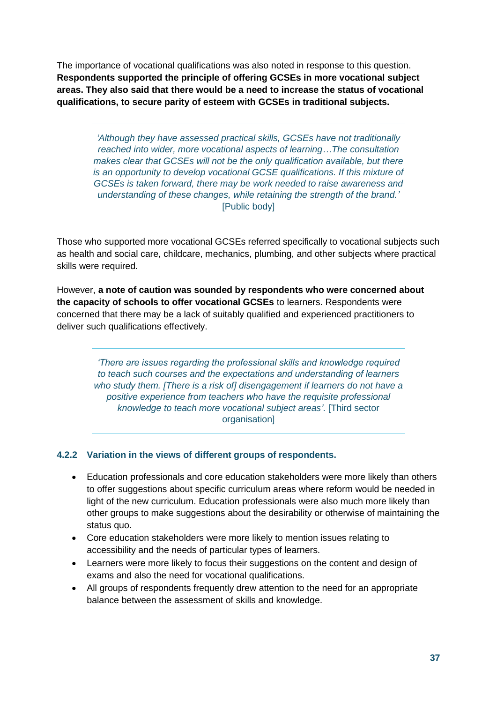The importance of vocational qualifications was also noted in response to this question. **Respondents supported the principle of offering GCSEs in more vocational subject areas. They also said that there would be a need to increase the status of vocational qualifications, to secure parity of esteem with GCSEs in traditional subjects.**

*'Although they have assessed practical skills, GCSEs have not traditionally reached into wider, more vocational aspects of learning…The consultation makes clear that GCSEs will not be the only qualification available, but there is an opportunity to develop vocational GCSE qualifications. If this mixture of GCSEs is taken forward, there may be work needed to raise awareness and understanding of these changes, while retaining the strength of the brand.'* [Public body]

Those who supported more vocational GCSEs referred specifically to vocational subjects such as health and social care, childcare, mechanics, plumbing, and other subjects where practical skills were required.

However, **a note of caution was sounded by respondents who were concerned about the capacity of schools to offer vocational GCSEs** to learners. Respondents were concerned that there may be a lack of suitably qualified and experienced practitioners to deliver such qualifications effectively.

> *'There are issues regarding the professional skills and knowledge required to teach such courses and the expectations and understanding of learners who study them. [There is a risk of] disengagement if learners do not have a positive experience from teachers who have the requisite professional knowledge to teach more vocational subject areas'.* [Third sector organisation]

#### **4.2.2 Variation in the views of different groups of respondents.**

- Education professionals and core education stakeholders were more likely than others to offer suggestions about specific curriculum areas where reform would be needed in light of the new curriculum. Education professionals were also much more likely than other groups to make suggestions about the desirability or otherwise of maintaining the status quo.
- Core education stakeholders were more likely to mention issues relating to accessibility and the needs of particular types of learners.
- Learners were more likely to focus their suggestions on the content and design of exams and also the need for vocational qualifications.
- All groups of respondents frequently drew attention to the need for an appropriate balance between the assessment of skills and knowledge.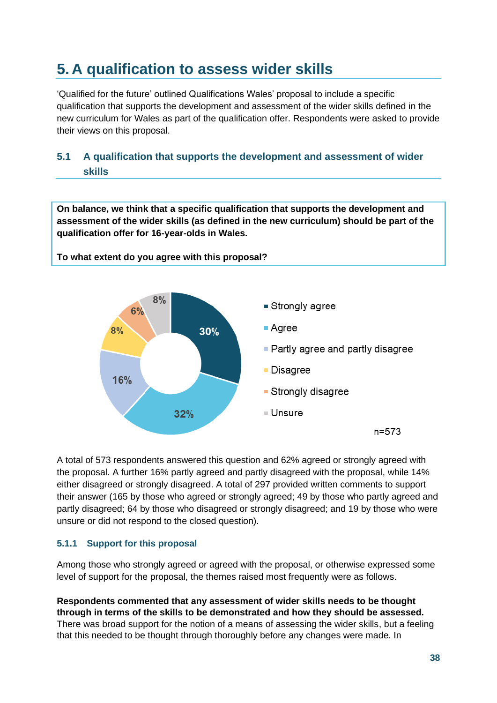# <span id="page-37-0"></span>**5. A qualification to assess wider skills**

**To what extent do you agree with this proposal?**

'Qualified for the future' outlined Qualifications Wales' proposal to include a specific qualification that supports the development and assessment of the wider skills defined in the new curriculum for Wales as part of the qualification offer. Respondents were asked to provide their views on this proposal.

# <span id="page-37-1"></span>**5.1 A qualification that supports the development and assessment of wider skills**

**On balance, we think that a specific qualification that supports the development and assessment of the wider skills (as defined in the new curriculum) should be part of the qualification offer for 16-year-olds in Wales.**



A total of 573 respondents answered this question and 62% agreed or strongly agreed with the proposal. A further 16% partly agreed and partly disagreed with the proposal, while 14% either disagreed or strongly disagreed. A total of 297 provided written comments to support their answer (165 by those who agreed or strongly agreed; 49 by those who partly agreed and partly disagreed; 64 by those who disagreed or strongly disagreed; and 19 by those who were unsure or did not respond to the closed question).

#### **5.1.1 Support for this proposal**

Among those who strongly agreed or agreed with the proposal, or otherwise expressed some level of support for the proposal, the themes raised most frequently were as follows.

**Respondents commented that any assessment of wider skills needs to be thought through in terms of the skills to be demonstrated and how they should be assessed.**  There was broad support for the notion of a means of assessing the wider skills, but a feeling that this needed to be thought through thoroughly before any changes were made. In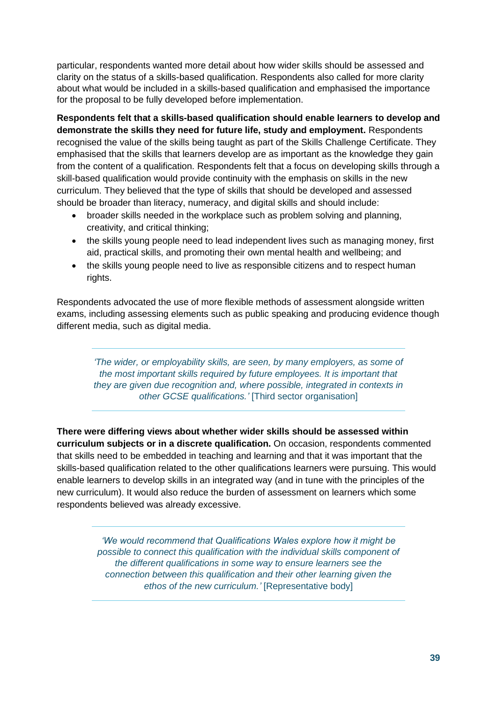particular, respondents wanted more detail about how wider skills should be assessed and clarity on the status of a skills-based qualification. Respondents also called for more clarity about what would be included in a skills-based qualification and emphasised the importance for the proposal to be fully developed before implementation.

**Respondents felt that a skills-based qualification should enable learners to develop and demonstrate the skills they need for future life, study and employment.** Respondents recognised the value of the skills being taught as part of the Skills Challenge Certificate. They emphasised that the skills that learners develop are as important as the knowledge they gain from the content of a qualification. Respondents felt that a focus on developing skills through a skill-based qualification would provide continuity with the emphasis on skills in the new curriculum. They believed that the type of skills that should be developed and assessed should be broader than literacy, numeracy, and digital skills and should include:

- broader skills needed in the workplace such as problem solving and planning, creativity, and critical thinking;
- the skills young people need to lead independent lives such as managing money, first aid, practical skills, and promoting their own mental health and wellbeing; and
- the skills young people need to live as responsible citizens and to respect human rights.

Respondents advocated the use of more flexible methods of assessment alongside written exams, including assessing elements such as public speaking and producing evidence though different media, such as digital media.

*'The wider, or employability skills, are seen, by many employers, as some of the most important skills required by future employees. It is important that they are given due recognition and, where possible, integrated in contexts in other GCSE qualifications.'* [Third sector organisation]

**There were differing views about whether wider skills should be assessed within curriculum subjects or in a discrete qualification.** On occasion, respondents commented that skills need to be embedded in teaching and learning and that it was important that the skills-based qualification related to the other qualifications learners were pursuing. This would enable learners to develop skills in an integrated way (and in tune with the principles of the new curriculum). It would also reduce the burden of assessment on learners which some respondents believed was already excessive.

> *'We would recommend that Qualifications Wales explore how it might be possible to connect this qualification with the individual skills component of the different qualifications in some way to ensure learners see the connection between this qualification and their other learning given the ethos of the new curriculum.'* [Representative body]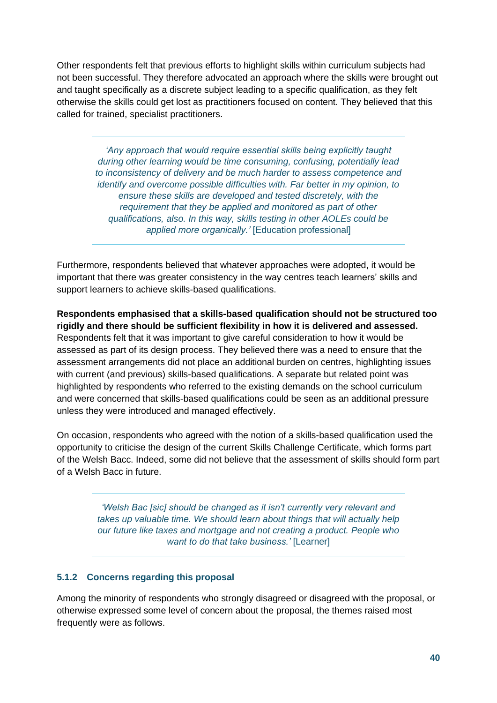Other respondents felt that previous efforts to highlight skills within curriculum subjects had not been successful. They therefore advocated an approach where the skills were brought out and taught specifically as a discrete subject leading to a specific qualification, as they felt otherwise the skills could get lost as practitioners focused on content. They believed that this called for trained, specialist practitioners.

> *'Any approach that would require essential skills being explicitly taught during other learning would be time consuming, confusing, potentially lead to inconsistency of delivery and be much harder to assess competence and identify and overcome possible difficulties with. Far better in my opinion, to ensure these skills are developed and tested discretely, with the requirement that they be applied and monitored as part of other qualifications, also. In this way, skills testing in other AOLEs could be applied more organically.'* [Education professional]

Furthermore, respondents believed that whatever approaches were adopted, it would be important that there was greater consistency in the way centres teach learners' skills and support learners to achieve skills-based qualifications.

**Respondents emphasised that a skills-based qualification should not be structured too rigidly and there should be sufficient flexibility in how it is delivered and assessed.**  Respondents felt that it was important to give careful consideration to how it would be assessed as part of its design process. They believed there was a need to ensure that the assessment arrangements did not place an additional burden on centres, highlighting issues with current (and previous) skills-based qualifications. A separate but related point was highlighted by respondents who referred to the existing demands on the school curriculum and were concerned that skills-based qualifications could be seen as an additional pressure unless they were introduced and managed effectively.

On occasion, respondents who agreed with the notion of a skills-based qualification used the opportunity to criticise the design of the current Skills Challenge Certificate, which forms part of the Welsh Bacc. Indeed, some did not believe that the assessment of skills should form part of a Welsh Bacc in future.

> *'Welsh Bac [sic] should be changed as it isn't currently very relevant and takes up valuable time. We should learn about things that will actually help our future like taxes and mortgage and not creating a product. People who want to do that take business.'* [Learner]

#### **5.1.2 Concerns regarding this proposal**

Among the minority of respondents who strongly disagreed or disagreed with the proposal, or otherwise expressed some level of concern about the proposal, the themes raised most frequently were as follows.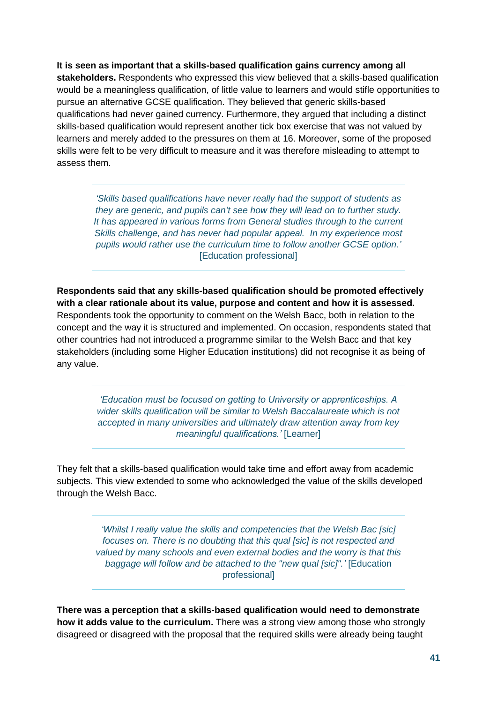**It is seen as important that a skills-based qualification gains currency among all stakeholders.** Respondents who expressed this view believed that a skills-based qualification would be a meaningless qualification, of little value to learners and would stifle opportunities to pursue an alternative GCSE qualification. They believed that generic skills-based qualifications had never gained currency. Furthermore, they argued that including a distinct skills-based qualification would represent another tick box exercise that was not valued by learners and merely added to the pressures on them at 16. Moreover, some of the proposed skills were felt to be very difficult to measure and it was therefore misleading to attempt to assess them.

*'Skills based qualifications have never really had the support of students as they are generic, and pupils can't see how they will lead on to further study. It has appeared in various forms from General studies through to the current Skills challenge, and has never had popular appeal. In my experience most pupils would rather use the curriculum time to follow another GCSE option.'* [Education professional]

**Respondents said that any skills-based qualification should be promoted effectively with a clear rationale about its value, purpose and content and how it is assessed.**  Respondents took the opportunity to comment on the Welsh Bacc, both in relation to the concept and the way it is structured and implemented. On occasion, respondents stated that other countries had not introduced a programme similar to the Welsh Bacc and that key stakeholders (including some Higher Education institutions) did not recognise it as being of any value.

> *'Education must be focused on getting to University or apprenticeships. A wider skills qualification will be similar to Welsh Baccalaureate which is not accepted in many universities and ultimately draw attention away from key meaningful qualifications.'* [Learner]

They felt that a skills-based qualification would take time and effort away from academic subjects. This view extended to some who acknowledged the value of the skills developed through the Welsh Bacc.

> *'Whilst I really value the skills and competencies that the Welsh Bac [sic] focuses on. There is no doubting that this qual [sic] is not respected and valued by many schools and even external bodies and the worry is that this baggage will follow and be attached to the "new qual [sic]".'* [Education professional]

**There was a perception that a skills-based qualification would need to demonstrate how it adds value to the curriculum.** There was a strong view among those who strongly disagreed or disagreed with the proposal that the required skills were already being taught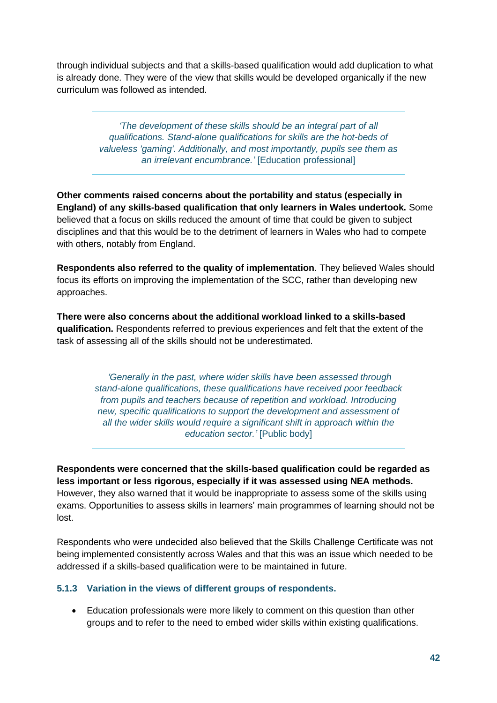through individual subjects and that a skills-based qualification would add duplication to what is already done. They were of the view that skills would be developed organically if the new curriculum was followed as intended.

> *'The development of these skills should be an integral part of all qualifications. Stand-alone qualifications for skills are the hot-beds of valueless 'gaming'. Additionally, and most importantly, pupils see them as an irrelevant encumbrance.'* [Education professional]

**Other comments raised concerns about the portability and status (especially in England) of any skills-based qualification that only learners in Wales undertook.** Some believed that a focus on skills reduced the amount of time that could be given to subject disciplines and that this would be to the detriment of learners in Wales who had to compete with others, notably from England.

**Respondents also referred to the quality of implementation**. They believed Wales should focus its efforts on improving the implementation of the SCC, rather than developing new approaches.

**There were also concerns about the additional workload linked to a skills-based qualification.** Respondents referred to previous experiences and felt that the extent of the task of assessing all of the skills should not be underestimated.

> *'Generally in the past, where wider skills have been assessed through stand-alone qualifications, these qualifications have received poor feedback from pupils and teachers because of repetition and workload. Introducing new, specific qualifications to support the development and assessment of all the wider skills would require a significant shift in approach within the education sector.'* [Public body]

**Respondents were concerned that the skills-based qualification could be regarded as less important or less rigorous, especially if it was assessed using NEA methods.** However, they also warned that it would be inappropriate to assess some of the skills using exams. Opportunities to assess skills in learners' main programmes of learning should not be lost.

Respondents who were undecided also believed that the Skills Challenge Certificate was not being implemented consistently across Wales and that this was an issue which needed to be addressed if a skills-based qualification were to be maintained in future.

#### **5.1.3 Variation in the views of different groups of respondents.**

• Education professionals were more likely to comment on this question than other groups and to refer to the need to embed wider skills within existing qualifications.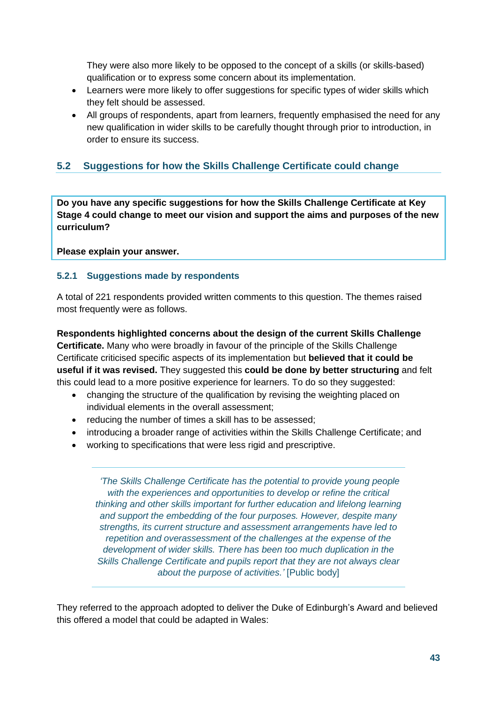They were also more likely to be opposed to the concept of a skills (or skills-based) qualification or to express some concern about its implementation.

- Learners were more likely to offer suggestions for specific types of wider skills which they felt should be assessed.
- All groups of respondents, apart from learners, frequently emphasised the need for any new qualification in wider skills to be carefully thought through prior to introduction, in order to ensure its success.

## <span id="page-42-0"></span>**5.2 Suggestions for how the Skills Challenge Certificate could change**

**Do you have any specific suggestions for how the Skills Challenge Certificate at Key Stage 4 could change to meet our vision and support the aims and purposes of the new curriculum?** 

**Please explain your answer.**

#### **5.2.1 Suggestions made by respondents**

A total of 221 respondents provided written comments to this question. The themes raised most frequently were as follows.

**Respondents highlighted concerns about the design of the current Skills Challenge Certificate.** Many who were broadly in favour of the principle of the Skills Challenge Certificate criticised specific aspects of its implementation but **believed that it could be useful if it was revised.** They suggested this **could be done by better structuring** and felt this could lead to a more positive experience for learners. To do so they suggested:

- changing the structure of the qualification by revising the weighting placed on individual elements in the overall assessment;
- reducing the number of times a skill has to be assessed;
- introducing a broader range of activities within the Skills Challenge Certificate; and
- working to specifications that were less rigid and prescriptive.

*'The Skills Challenge Certificate has the potential to provide young people with the experiences and opportunities to develop or refine the critical thinking and other skills important for further education and lifelong learning and support the embedding of the four purposes. However, despite many strengths, its current structure and assessment arrangements have led to repetition and overassessment of the challenges at the expense of the development of wider skills. There has been too much duplication in the Skills Challenge Certificate and pupils report that they are not always clear about the purpose of activities.'* [Public body]

They referred to the approach adopted to deliver the Duke of Edinburgh's Award and believed this offered a model that could be adapted in Wales: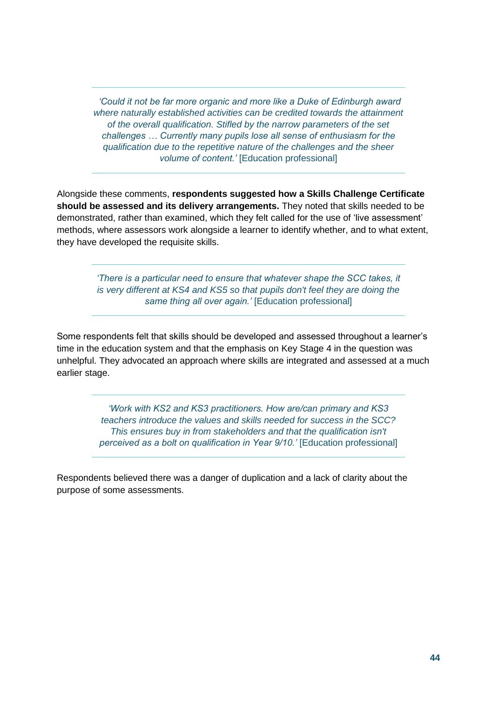*'Could it not be far more organic and more like a Duke of Edinburgh award where naturally established activities can be credited towards the attainment of the overall qualification. Stifled by the narrow parameters of the set challenges … Currently many pupils lose all sense of enthusiasm for the qualification due to the repetitive nature of the challenges and the sheer volume of content.'* [Education professional]

Alongside these comments, **respondents suggested how a Skills Challenge Certificate should be assessed and its delivery arrangements.** They noted that skills needed to be demonstrated, rather than examined, which they felt called for the use of 'live assessment' methods, where assessors work alongside a learner to identify whether, and to what extent, they have developed the requisite skills.

> *'There is a particular need to ensure that whatever shape the SCC takes, it is very different at KS4 and KS5 so that pupils don't feel they are doing the same thing all over again.'* [Education professional]

Some respondents felt that skills should be developed and assessed throughout a learner's time in the education system and that the emphasis on Key Stage 4 in the question was unhelpful. They advocated an approach where skills are integrated and assessed at a much earlier stage.

> *'Work with KS2 and KS3 practitioners. How are/can primary and KS3 teachers introduce the values and skills needed for success in the SCC? This ensures buy in from stakeholders and that the qualification isn't perceived as a bolt on qualification in Year 9/10.'* [Education professional]

Respondents believed there was a danger of duplication and a lack of clarity about the purpose of some assessments.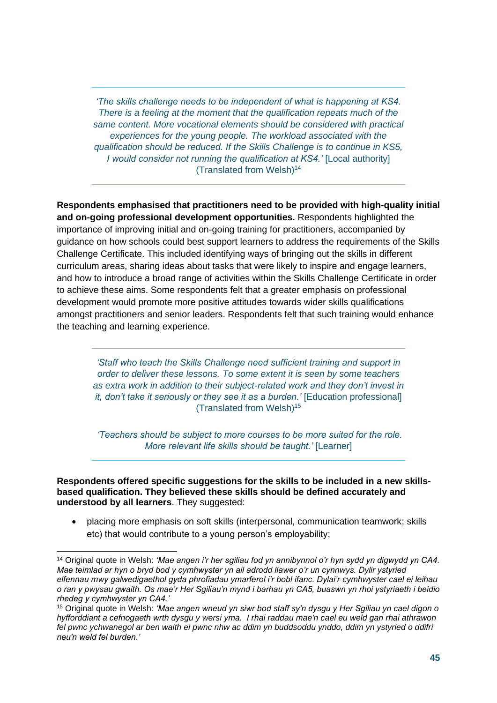*'The skills challenge needs to be independent of what is happening at KS4. There is a feeling at the moment that the qualification repeats much of the same content. More vocational elements should be considered with practical experiences for the young people. The workload associated with the qualification should be reduced. If the Skills Challenge is to continue in KS5, I would consider not running the qualification at KS4.'* [Local authority] (Translated from Welsh)<sup>14</sup>

**Respondents emphasised that practitioners need to be provided with high-quality initial and on-going professional development opportunities.** Respondents highlighted the importance of improving initial and on-going training for practitioners, accompanied by guidance on how schools could best support learners to address the requirements of the Skills Challenge Certificate. This included identifying ways of bringing out the skills in different curriculum areas, sharing ideas about tasks that were likely to inspire and engage learners, and how to introduce a broad range of activities within the Skills Challenge Certificate in order to achieve these aims. Some respondents felt that a greater emphasis on professional development would promote more positive attitudes towards wider skills qualifications amongst practitioners and senior leaders. Respondents felt that such training would enhance the teaching and learning experience.

*'Staff who teach the Skills Challenge need sufficient training and support in order to deliver these lessons. To some extent it is seen by some teachers as extra work in addition to their subject-related work and they don't invest in it, don't take it seriously or they see it as a burden.'* [Education professional] (Translated from Welsh)<sup>15</sup>

*'Teachers should be subject to more courses to be more suited for the role. More relevant life skills should be taught.'* [Learner]

**Respondents offered specific suggestions for the skills to be included in a new skillsbased qualification. They believed these skills should be defined accurately and understood by all learners**. They suggested:

• placing more emphasis on soft skills (interpersonal, communication teamwork; skills etc) that would contribute to a young person's employability;

<sup>14</sup> Original quote in Welsh: *'Mae angen i'r her sgiliau fod yn annibynnol o'r hyn sydd yn digwydd yn CA4. Mae teimlad ar hyn o bryd bod y cymhwyster yn ail adrodd llawer o'r un cynnwys. Dylir ystyried elfennau mwy galwedigaethol gyda phrofiadau ymarferol i'r bobl ifanc. Dylai'r cymhwyster cael ei leihau o ran y pwysau gwaith. Os mae'r Her Sgiliau'n mynd i barhau yn CA5, buaswn yn rhoi ystyriaeth i beidio rhedeg y cymhwyster yn CA4.'*

<sup>15</sup> Original quote in Welsh: *'Mae angen wneud yn siwr bod staff sy'n dysgu y Her Sgiliau yn cael digon o hyfforddiant a cefnogaeth wrth dysgu y wersi yma. I rhai raddau mae'n cael eu weld gan rhai athrawon fel pwnc ychwanegol ar ben waith ei pwnc nhw ac ddim yn buddsoddu ynddo, ddim yn ystyried o ddifri neu'n weld fel burden.'*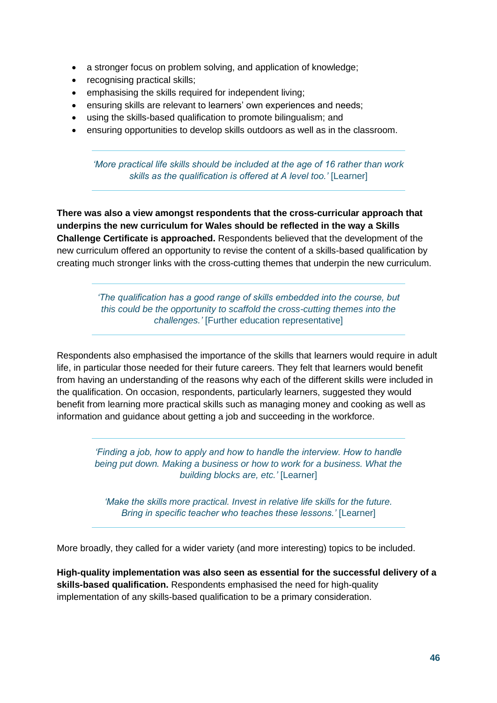- a stronger focus on problem solving, and application of knowledge;
- recognising practical skills;
- emphasising the skills required for independent living;
- ensuring skills are relevant to learners' own experiences and needs;
- using the skills-based qualification to promote bilingualism; and
- ensuring opportunities to develop skills outdoors as well as in the classroom.

*'More practical life skills should be included at the age of 16 rather than work*  skills as the qualification is offered at A level too.' [Learner]

**There was also a view amongst respondents that the cross-curricular approach that underpins the new curriculum for Wales should be reflected in the way a Skills Challenge Certificate is approached.** Respondents believed that the development of the new curriculum offered an opportunity to revise the content of a skills-based qualification by creating much stronger links with the cross-cutting themes that underpin the new curriculum.

> *'The qualification has a good range of skills embedded into the course, but this could be the opportunity to scaffold the cross-cutting themes into the challenges.'* [Further education representative]

Respondents also emphasised the importance of the skills that learners would require in adult life, in particular those needed for their future careers. They felt that learners would benefit from having an understanding of the reasons why each of the different skills were included in the qualification. On occasion, respondents, particularly learners, suggested they would benefit from learning more practical skills such as managing money and cooking as well as information and guidance about getting a job and succeeding in the workforce.

*'Finding a job, how to apply and how to handle the interview. How to handle being put down. Making a business or how to work for a business. What the building blocks are, etc.'* [Learner]

*'Make the skills more practical. Invest in relative life skills for the future. Bring in specific teacher who teaches these lessons.'* [Learner]

More broadly, they called for a wider variety (and more interesting) topics to be included.

**High-quality implementation was also seen as essential for the successful delivery of a skills-based qualification.** Respondents emphasised the need for high-quality implementation of any skills-based qualification to be a primary consideration.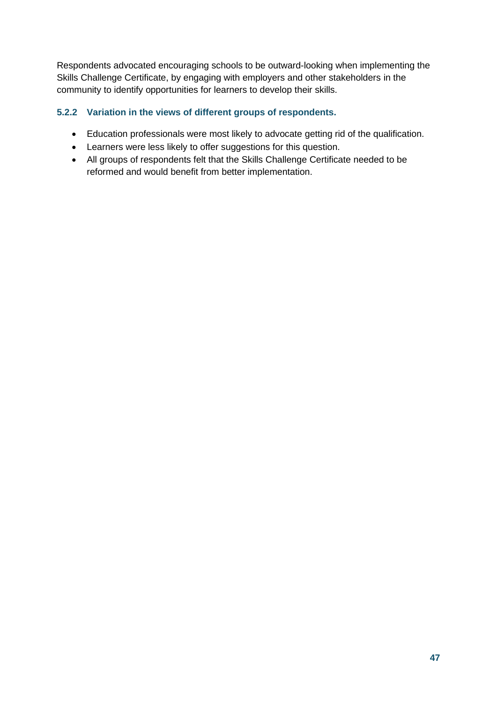Respondents advocated encouraging schools to be outward-looking when implementing the Skills Challenge Certificate, by engaging with employers and other stakeholders in the community to identify opportunities for learners to develop their skills.

### **5.2.2 Variation in the views of different groups of respondents.**

- Education professionals were most likely to advocate getting rid of the qualification.
- Learners were less likely to offer suggestions for this question.
- All groups of respondents felt that the Skills Challenge Certificate needed to be reformed and would benefit from better implementation.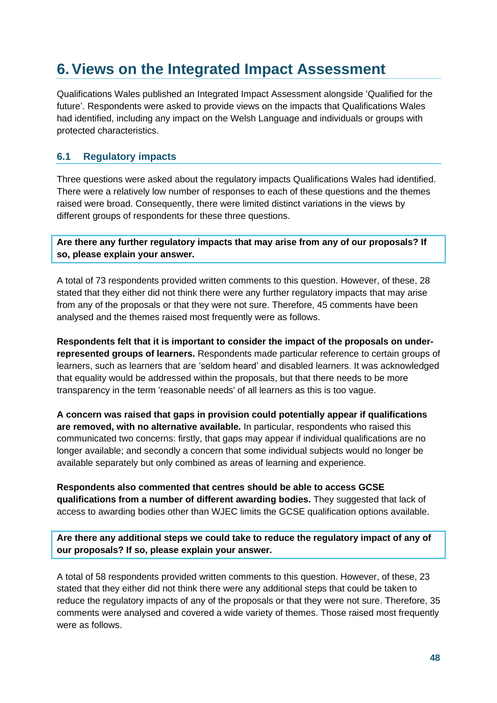# <span id="page-47-0"></span>**6.Views on the Integrated Impact Assessment**

Qualifications Wales published an Integrated Impact Assessment alongside 'Qualified for the future'. Respondents were asked to provide views on the impacts that Qualifications Wales had identified, including any impact on the Welsh Language and individuals or groups with protected characteristics.

### <span id="page-47-1"></span>**6.1 Regulatory impacts**

Three questions were asked about the regulatory impacts Qualifications Wales had identified. There were a relatively low number of responses to each of these questions and the themes raised were broad. Consequently, there were limited distinct variations in the views by different groups of respondents for these three questions.

**Are there any further regulatory impacts that may arise from any of our proposals? If so, please explain your answer.** 

A total of 73 respondents provided written comments to this question. However, of these, 28 stated that they either did not think there were any further regulatory impacts that may arise from any of the proposals or that they were not sure. Therefore, 45 comments have been analysed and the themes raised most frequently were as follows.

**Respondents felt that it is important to consider the impact of the proposals on underrepresented groups of learners.** Respondents made particular reference to certain groups of learners, such as learners that are 'seldom heard' and disabled learners. It was acknowledged that equality would be addressed within the proposals, but that there needs to be more transparency in the term 'reasonable needs' of all learners as this is too vague.

**A concern was raised that gaps in provision could potentially appear if qualifications are removed, with no alternative available.** In particular, respondents who raised this communicated two concerns: firstly, that gaps may appear if individual qualifications are no longer available; and secondly a concern that some individual subjects would no longer be available separately but only combined as areas of learning and experience.

**Respondents also commented that centres should be able to access GCSE qualifications from a number of different awarding bodies.** They suggested that lack of access to awarding bodies other than WJEC limits the GCSE qualification options available.

**Are there any additional steps we could take to reduce the regulatory impact of any of our proposals? If so, please explain your answer.** 

A total of 58 respondents provided written comments to this question. However, of these, 23 stated that they either did not think there were any additional steps that could be taken to reduce the regulatory impacts of any of the proposals or that they were not sure. Therefore, 35 comments were analysed and covered a wide variety of themes. Those raised most frequently were as follows.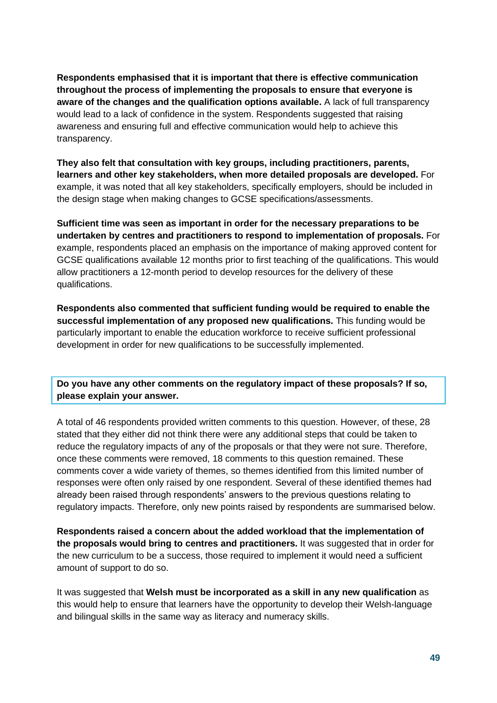**Respondents emphasised that it is important that there is effective communication throughout the process of implementing the proposals to ensure that everyone is aware of the changes and the qualification options available.** A lack of full transparency would lead to a lack of confidence in the system. Respondents suggested that raising awareness and ensuring full and effective communication would help to achieve this transparency.

**They also felt that consultation with key groups, including practitioners, parents, learners and other key stakeholders, when more detailed proposals are developed.** For example, it was noted that all key stakeholders, specifically employers, should be included in the design stage when making changes to GCSE specifications/assessments.

**Sufficient time was seen as important in order for the necessary preparations to be undertaken by centres and practitioners to respond to implementation of proposals.** For example, respondents placed an emphasis on the importance of making approved content for GCSE qualifications available 12 months prior to first teaching of the qualifications. This would allow practitioners a 12-month period to develop resources for the delivery of these qualifications.

**Respondents also commented that sufficient funding would be required to enable the successful implementation of any proposed new qualifications.** This funding would be particularly important to enable the education workforce to receive sufficient professional development in order for new qualifications to be successfully implemented.

**Do you have any other comments on the regulatory impact of these proposals? If so, please explain your answer.**

A total of 46 respondents provided written comments to this question. However, of these, 28 stated that they either did not think there were any additional steps that could be taken to reduce the regulatory impacts of any of the proposals or that they were not sure. Therefore, once these comments were removed, 18 comments to this question remained. These comments cover a wide variety of themes, so themes identified from this limited number of responses were often only raised by one respondent. Several of these identified themes had already been raised through respondents' answers to the previous questions relating to regulatory impacts. Therefore, only new points raised by respondents are summarised below.

**Respondents raised a concern about the added workload that the implementation of the proposals would bring to centres and practitioners.** It was suggested that in order for the new curriculum to be a success, those required to implement it would need a sufficient amount of support to do so.

It was suggested that **Welsh must be incorporated as a skill in any new qualification** as this would help to ensure that learners have the opportunity to develop their Welsh-language and bilingual skills in the same way as literacy and numeracy skills.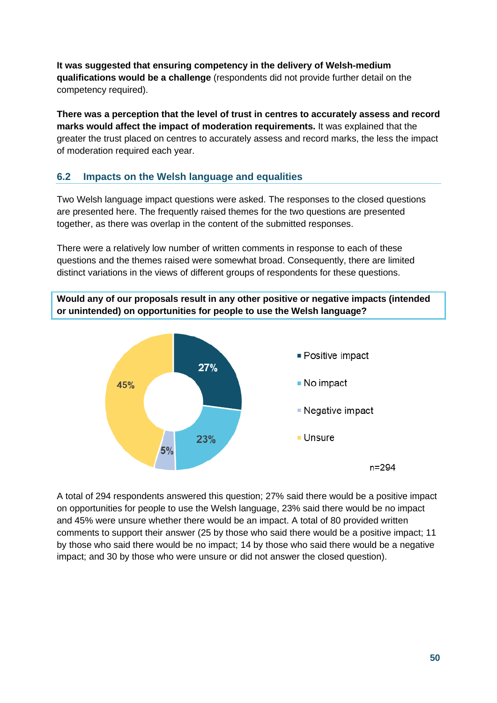**It was suggested that ensuring competency in the delivery of Welsh-medium qualifications would be a challenge** (respondents did not provide further detail on the competency required).

**There was a perception that the level of trust in centres to accurately assess and record marks would affect the impact of moderation requirements.** It was explained that the greater the trust placed on centres to accurately assess and record marks, the less the impact of moderation required each year.

### <span id="page-49-0"></span>**6.2 Impacts on the Welsh language and equalities**

Two Welsh language impact questions were asked. The responses to the closed questions are presented here. The frequently raised themes for the two questions are presented together, as there was overlap in the content of the submitted responses.

There were a relatively low number of written comments in response to each of these questions and the themes raised were somewhat broad. Consequently, there are limited distinct variations in the views of different groups of respondents for these questions.

**Would any of our proposals result in any other positive or negative impacts (intended or unintended) on opportunities for people to use the Welsh language?**



A total of 294 respondents answered this question; 27% said there would be a positive impact on opportunities for people to use the Welsh language, 23% said there would be no impact and 45% were unsure whether there would be an impact. A total of 80 provided written comments to support their answer (25 by those who said there would be a positive impact; 11 by those who said there would be no impact; 14 by those who said there would be a negative impact; and 30 by those who were unsure or did not answer the closed question).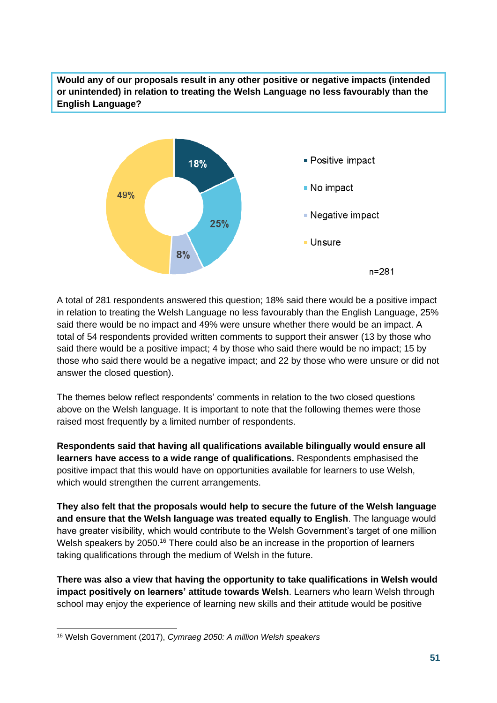**Would any of our proposals result in any other positive or negative impacts (intended or unintended) in relation to treating the Welsh Language no less favourably than the English Language?**



A total of 281 respondents answered this question; 18% said there would be a positive impact in relation to treating the Welsh Language no less favourably than the English Language, 25% said there would be no impact and 49% were unsure whether there would be an impact. A total of 54 respondents provided written comments to support their answer (13 by those who said there would be a positive impact; 4 by those who said there would be no impact; 15 by those who said there would be a negative impact; and 22 by those who were unsure or did not answer the closed question).

The themes below reflect respondents' comments in relation to the two closed questions above on the Welsh language. It is important to note that the following themes were those raised most frequently by a limited number of respondents.

**Respondents said that having all qualifications available bilingually would ensure all learners have access to a wide range of qualifications.** Respondents emphasised the positive impact that this would have on opportunities available for learners to use Welsh, which would strengthen the current arrangements.

**They also felt that the proposals would help to secure the future of the Welsh language and ensure that the Welsh language was treated equally to English**. The language would have greater visibility, which would contribute to the Welsh Government's target of one million Welsh speakers by 2050.<sup>16</sup> There could also be an increase in the proportion of learners taking qualifications through the medium of Welsh in the future.

**There was also a view that having the opportunity to take qualifications in Welsh would impact positively on learners' attitude towards Welsh**. Learners who learn Welsh through school may enjoy the experience of learning new skills and their attitude would be positive

<sup>16</sup> Welsh Government (2017), *Cymraeg 2050: A million Welsh speakers*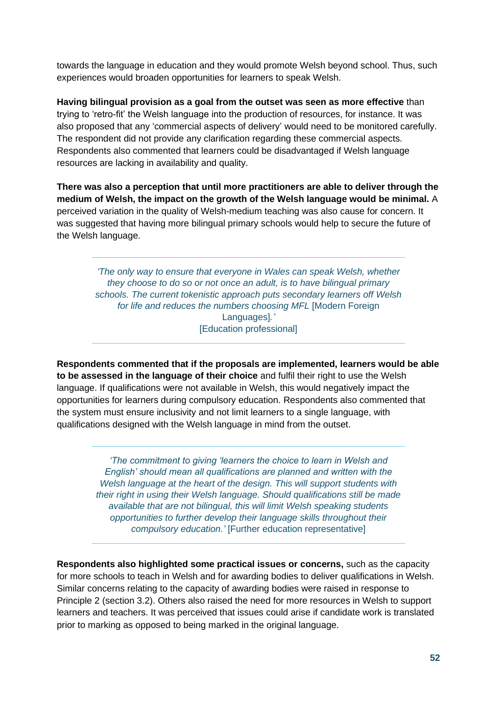towards the language in education and they would promote Welsh beyond school. Thus, such experiences would broaden opportunities for learners to speak Welsh.

**Having bilingual provision as a goal from the outset was seen as more effective** than trying to 'retro-fit' the Welsh language into the production of resources, for instance. It was also proposed that any 'commercial aspects of delivery' would need to be monitored carefully. The respondent did not provide any clarification regarding these commercial aspects. Respondents also commented that learners could be disadvantaged if Welsh language resources are lacking in availability and quality.

**There was also a perception that until more practitioners are able to deliver through the medium of Welsh, the impact on the growth of the Welsh language would be minimal.** A perceived variation in the quality of Welsh-medium teaching was also cause for concern. It was suggested that having more bilingual primary schools would help to secure the future of the Welsh language.

*'The only way to ensure that everyone in Wales can speak Welsh, whether they choose to do so or not once an adult, is to have bilingual primary schools. The current tokenistic approach puts secondary learners off Welsh for life and reduces the numbers choosing MFL* [Modern Foreign Languages]*.'* [Education professional]

**Respondents commented that if the proposals are implemented, learners would be able to be assessed in the language of their choice** and fulfil their right to use the Welsh language. If qualifications were not available in Welsh, this would negatively impact the opportunities for learners during compulsory education. Respondents also commented that the system must ensure inclusivity and not limit learners to a single language, with qualifications designed with the Welsh language in mind from the outset.

> *'The commitment to giving 'learners the choice to learn in Welsh and English' should mean all qualifications are planned and written with the Welsh language at the heart of the design. This will support students with their right in using their Welsh language. Should qualifications still be made available that are not bilingual, this will limit Welsh speaking students opportunities to further develop their language skills throughout their compulsory education.'* [Further education representative]

**Respondents also highlighted some practical issues or concerns,** such as the capacity for more schools to teach in Welsh and for awarding bodies to deliver qualifications in Welsh. Similar concerns relating to the capacity of awarding bodies were raised in response to Principle 2 (section 3.2). Others also raised the need for more resources in Welsh to support learners and teachers. It was perceived that issues could arise if candidate work is translated prior to marking as opposed to being marked in the original language.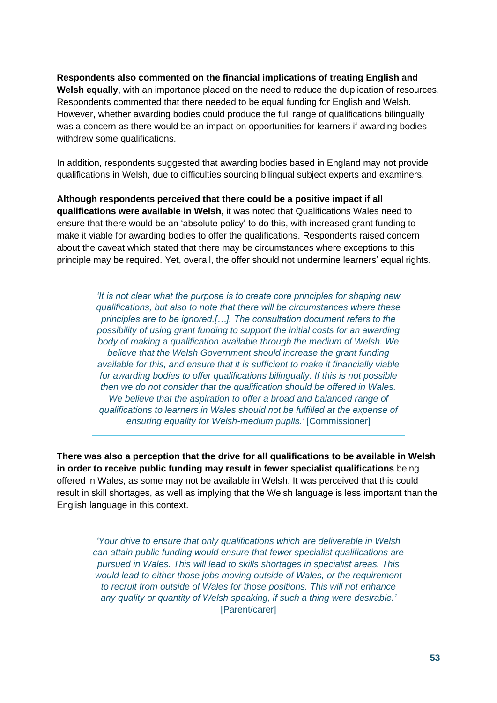**Respondents also commented on the financial implications of treating English and Welsh equally**, with an importance placed on the need to reduce the duplication of resources. Respondents commented that there needed to be equal funding for English and Welsh. However, whether awarding bodies could produce the full range of qualifications bilingually was a concern as there would be an impact on opportunities for learners if awarding bodies withdrew some qualifications.

In addition, respondents suggested that awarding bodies based in England may not provide qualifications in Welsh, due to difficulties sourcing bilingual subject experts and examiners.

**Although respondents perceived that there could be a positive impact if all qualifications were available in Welsh**, it was noted that Qualifications Wales need to ensure that there would be an 'absolute policy' to do this, with increased grant funding to make it viable for awarding bodies to offer the qualifications. Respondents raised concern about the caveat which stated that there may be circumstances where exceptions to this principle may be required. Yet, overall, the offer should not undermine learners' equal rights.

> *'It is not clear what the purpose is to create core principles for shaping new qualifications, but also to note that there will be circumstances where these principles are to be ignored.[…]. The consultation document refers to the possibility of using grant funding to support the initial costs for an awarding body of making a qualification available through the medium of Welsh. We believe that the Welsh Government should increase the grant funding available for this, and ensure that it is sufficient to make it financially viable for awarding bodies to offer qualifications bilingually. If this is not possible then we do not consider that the qualification should be offered in Wales. We believe that the aspiration to offer a broad and balanced range of qualifications to learners in Wales should not be fulfilled at the expense of ensuring equality for Welsh-medium pupils.'* [Commissioner]

**There was also a perception that the drive for all qualifications to be available in Welsh in order to receive public funding may result in fewer specialist qualifications** being offered in Wales, as some may not be available in Welsh. It was perceived that this could result in skill shortages, as well as implying that the Welsh language is less important than the English language in this context.

*'Your drive to ensure that only qualifications which are deliverable in Welsh can attain public funding would ensure that fewer specialist qualifications are pursued in Wales. This will lead to skills shortages in specialist areas. This would lead to either those jobs moving outside of Wales, or the requirement to recruit from outside of Wales for those positions. This will not enhance any quality or quantity of Welsh speaking, if such a thing were desirable.'*  [Parent/carer]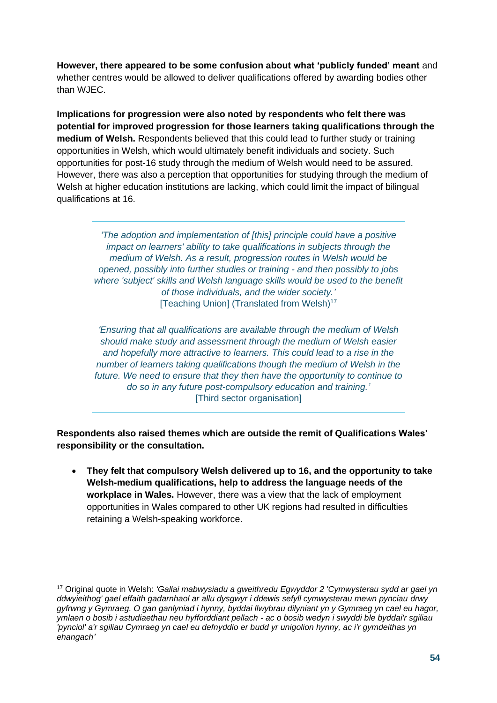**However, there appeared to be some confusion about what 'publicly funded' meant** and whether centres would be allowed to deliver qualifications offered by awarding bodies other than WJEC.

**Implications for progression were also noted by respondents who felt there was potential for improved progression for those learners taking qualifications through the medium of Welsh.** Respondents believed that this could lead to further study or training opportunities in Welsh, which would ultimately benefit individuals and society. Such opportunities for post-16 study through the medium of Welsh would need to be assured. However, there was also a perception that opportunities for studying through the medium of Welsh at higher education institutions are lacking, which could limit the impact of bilingual qualifications at 16.

*'The adoption and implementation of [this] principle could have a positive impact on learners' ability to take qualifications in subjects through the medium of Welsh. As a result, progression routes in Welsh would be opened, possibly into further studies or training - and then possibly to jobs where 'subject' skills and Welsh language skills would be used to the benefit of those individuals, and the wider society.'* [Teaching Union] (Translated from Welsh)<sup>17</sup>

*'Ensuring that all qualifications are available through the medium of Welsh should make study and assessment through the medium of Welsh easier and hopefully more attractive to learners. This could lead to a rise in the number of learners taking qualifications though the medium of Welsh in the future. We need to ensure that they then have the opportunity to continue to do so in any future post-compulsory education and training.'* [Third sector organisation]

**Respondents also raised themes which are outside the remit of Qualifications Wales' responsibility or the consultation.**

• **They felt that compulsory Welsh delivered up to 16, and the opportunity to take Welsh-medium qualifications, help to address the language needs of the workplace in Wales.** However, there was a view that the lack of employment opportunities in Wales compared to other UK regions had resulted in difficulties retaining a Welsh-speaking workforce.

<sup>17</sup> Original quote in Welsh: *'Gallai mabwysiadu a gweithredu Egwyddor 2 'Cymwysterau sydd ar gael yn ddwyieithog' gael effaith gadarnhaol ar allu dysgwyr i ddewis sefyll cymwysterau mewn pynciau drwy gyfrwng y Gymraeg. O gan ganlyniad i hynny, byddai llwybrau dilyniant yn y Gymraeg yn cael eu hagor, ymlaen o bosib i astudiaethau neu hyfforddiant pellach - ac o bosib wedyn i swyddi ble byddai'r sgiliau 'pynciol' a'r sgiliau Cymraeg yn cael eu defnyddio er budd yr unigolion hynny, ac i'r gymdeithas yn ehangach'*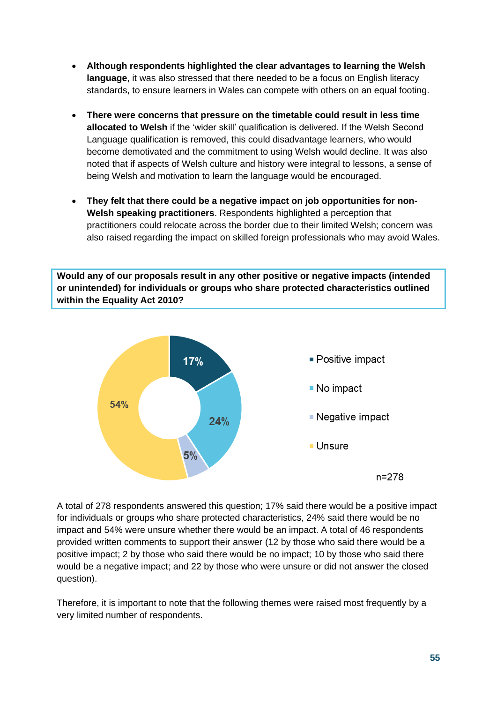- **Although respondents highlighted the clear advantages to learning the Welsh language**, it was also stressed that there needed to be a focus on English literacy standards, to ensure learners in Wales can compete with others on an equal footing.
- **There were concerns that pressure on the timetable could result in less time allocated to Welsh** if the 'wider skill' qualification is delivered. If the Welsh Second Language qualification is removed, this could disadvantage learners, who would become demotivated and the commitment to using Welsh would decline. It was also noted that if aspects of Welsh culture and history were integral to lessons, a sense of being Welsh and motivation to learn the language would be encouraged.
- **They felt that there could be a negative impact on job opportunities for non-Welsh speaking practitioners**. Respondents highlighted a perception that practitioners could relocate across the border due to their limited Welsh; concern was also raised regarding the impact on skilled foreign professionals who may avoid Wales.

**Would any of our proposals result in any other positive or negative impacts (intended or unintended) for individuals or groups who share protected characteristics outlined within the Equality Act 2010?**



A total of 278 respondents answered this question; 17% said there would be a positive impact for individuals or groups who share protected characteristics, 24% said there would be no impact and 54% were unsure whether there would be an impact. A total of 46 respondents provided written comments to support their answer (12 by those who said there would be a positive impact; 2 by those who said there would be no impact; 10 by those who said there would be a negative impact; and 22 by those who were unsure or did not answer the closed question).

Therefore, it is important to note that the following themes were raised most frequently by a very limited number of respondents.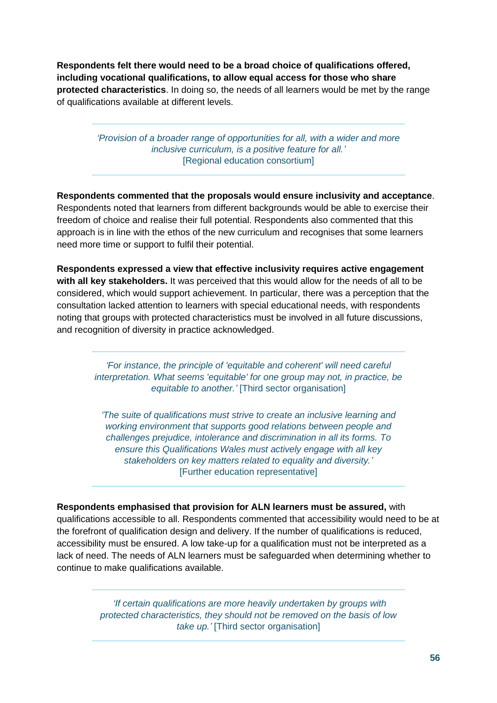**Respondents felt there would need to be a broad choice of qualifications offered, including vocational qualifications, to allow equal access for those who share protected characteristics**. In doing so, the needs of all learners would be met by the range of qualifications available at different levels.

> *'Provision of a broader range of opportunities for all, with a wider and more inclusive curriculum, is a positive feature for all.'* [Regional education consortium]

**Respondents commented that the proposals would ensure inclusivity and acceptance**. Respondents noted that learners from different backgrounds would be able to exercise their freedom of choice and realise their full potential. Respondents also commented that this approach is in line with the ethos of the new curriculum and recognises that some learners need more time or support to fulfil their potential.

**Respondents expressed a view that effective inclusivity requires active engagement with all key stakeholders.** It was perceived that this would allow for the needs of all to be considered, which would support achievement. In particular, there was a perception that the consultation lacked attention to learners with special educational needs, with respondents noting that groups with protected characteristics must be involved in all future discussions, and recognition of diversity in practice acknowledged.

> *'For instance, the principle of 'equitable and coherent' will need careful interpretation. What seems 'equitable' for one group may not, in practice, be equitable to another.'* [Third sector organisation]

*'The suite of qualifications must strive to create an inclusive learning and working environment that supports good relations between people and challenges prejudice, intolerance and discrimination in all its forms. To ensure this Qualifications Wales must actively engage with all key stakeholders on key matters related to equality and diversity.'* [Further education representative]

**Respondents emphasised that provision for ALN learners must be assured,** with qualifications accessible to all. Respondents commented that accessibility would need to be at the forefront of qualification design and delivery. If the number of qualifications is reduced, accessibility must be ensured. A low take-up for a qualification must not be interpreted as a lack of need. The needs of ALN learners must be safeguarded when determining whether to continue to make qualifications available.

> *'If certain qualifications are more heavily undertaken by groups with protected characteristics, they should not be removed on the basis of low take up.'* [Third sector organisation]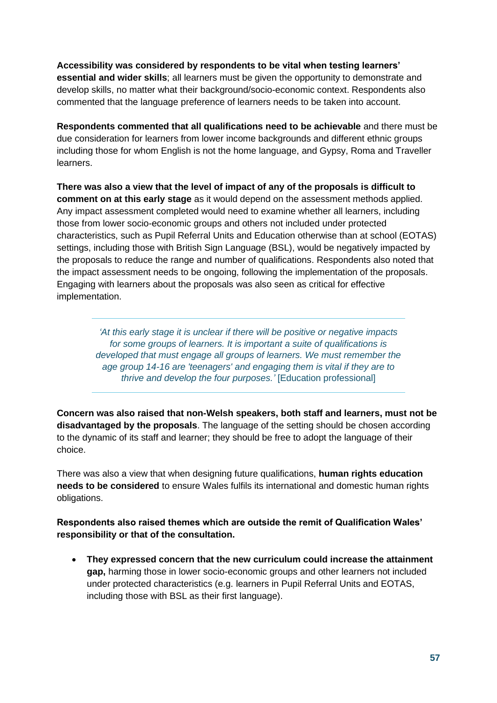**Accessibility was considered by respondents to be vital when testing learners' essential and wider skills**; all learners must be given the opportunity to demonstrate and develop skills, no matter what their background/socio-economic context. Respondents also commented that the language preference of learners needs to be taken into account.

**Respondents commented that all qualifications need to be achievable** and there must be due consideration for learners from lower income backgrounds and different ethnic groups including those for whom English is not the home language, and Gypsy, Roma and Traveller learners.

**There was also a view that the level of impact of any of the proposals is difficult to comment on at this early stage** as it would depend on the assessment methods applied. Any impact assessment completed would need to examine whether all learners, including those from lower socio-economic groups and others not included under protected characteristics, such as Pupil Referral Units and Education otherwise than at school (EOTAS) settings, including those with British Sign Language (BSL), would be negatively impacted by the proposals to reduce the range and number of qualifications. Respondents also noted that the impact assessment needs to be ongoing, following the implementation of the proposals. Engaging with learners about the proposals was also seen as critical for effective implementation.

> *'At this early stage it is unclear if there will be positive or negative impacts for some groups of learners. It is important a suite of qualifications is developed that must engage all groups of learners. We must remember the age group 14-16 are 'teenagers' and engaging them is vital if they are to thrive and develop the four purposes.'* [Education professional]

**Concern was also raised that non-Welsh speakers, both staff and learners, must not be disadvantaged by the proposals**. The language of the setting should be chosen according to the dynamic of its staff and learner; they should be free to adopt the language of their choice.

There was also a view that when designing future qualifications, **human rights education needs to be considered** to ensure Wales fulfils its international and domestic human rights obligations.

**Respondents also raised themes which are outside the remit of Qualification Wales' responsibility or that of the consultation.**

• **They expressed concern that the new curriculum could increase the attainment gap,** harming those in lower socio-economic groups and other learners not included under protected characteristics (e.g. learners in Pupil Referral Units and EOTAS, including those with BSL as their first language).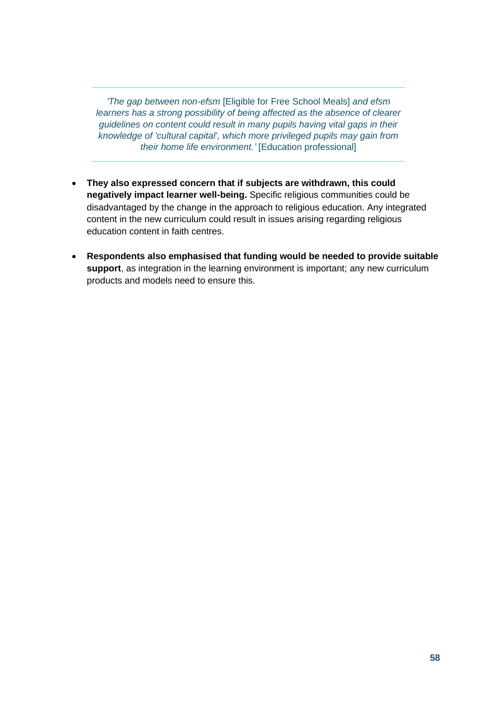*'The gap between non-efsm* [Eligible for Free School Meals] *and efsm learners has a strong possibility of being affected as the absence of clearer guidelines on content could result in many pupils having vital gaps in their knowledge of 'cultural capital', which more privileged pupils may gain from their home life environment.'* [Education professional]

- **They also expressed concern that if subjects are withdrawn, this could negatively impact learner well-being.** Specific religious communities could be disadvantaged by the change in the approach to religious education. Any integrated content in the new curriculum could result in issues arising regarding religious education content in faith centres.
- **Respondents also emphasised that funding would be needed to provide suitable support**, as integration in the learning environment is important; any new curriculum products and models need to ensure this.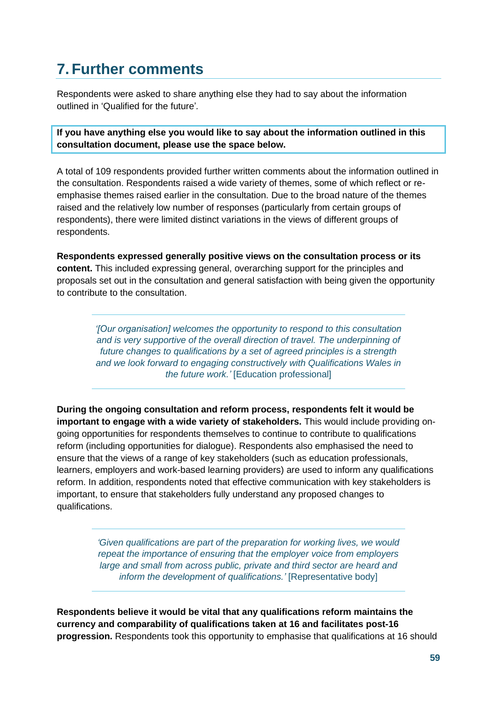# <span id="page-58-0"></span>**7. Further comments**

Respondents were asked to share anything else they had to say about the information outlined in 'Qualified for the future'*.* 

**If you have anything else you would like to say about the information outlined in this consultation document, please use the space below.**

A total of 109 respondents provided further written comments about the information outlined in the consultation. Respondents raised a wide variety of themes, some of which reflect or reemphasise themes raised earlier in the consultation. Due to the broad nature of the themes raised and the relatively low number of responses (particularly from certain groups of respondents), there were limited distinct variations in the views of different groups of respondents.

**Respondents expressed generally positive views on the consultation process or its content.** This included expressing general, overarching support for the principles and proposals set out in the consultation and general satisfaction with being given the opportunity to contribute to the consultation.

> *'[Our organisation] welcomes the opportunity to respond to this consultation and is very supportive of the overall direction of travel. The underpinning of future changes to qualifications by a set of agreed principles is a strength and we look forward to engaging constructively with Qualifications Wales in the future work.'* [Education professional]

**During the ongoing consultation and reform process, respondents felt it would be important to engage with a wide variety of stakeholders.** This would include providing ongoing opportunities for respondents themselves to continue to contribute to qualifications reform (including opportunities for dialogue). Respondents also emphasised the need to ensure that the views of a range of key stakeholders (such as education professionals, learners, employers and work-based learning providers) are used to inform any qualifications reform. In addition, respondents noted that effective communication with key stakeholders is important, to ensure that stakeholders fully understand any proposed changes to qualifications.

> *'Given qualifications are part of the preparation for working lives, we would repeat the importance of ensuring that the employer voice from employers large and small from across public, private and third sector are heard and inform the development of qualifications.'* [Representative body]

**Respondents believe it would be vital that any qualifications reform maintains the currency and comparability of qualifications taken at 16 and facilitates post-16 progression.** Respondents took this opportunity to emphasise that qualifications at 16 should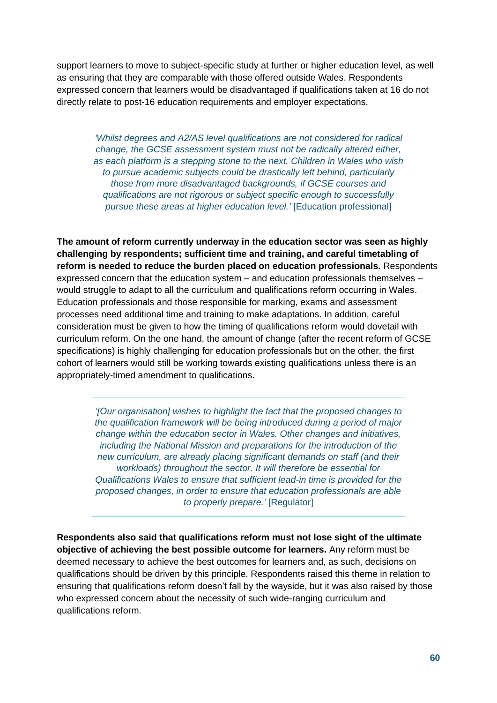support learners to move to subject-specific study at further or higher education level, as well as ensuring that they are comparable with those offered outside Wales. Respondents expressed concern that learners would be disadvantaged if qualifications taken at 16 do not directly relate to post-16 education requirements and employer expectations.

*'Whilst degrees and A2/AS level qualifications are not considered for radical change, the GCSE assessment system must not be radically altered either, as each platform is a stepping stone to the next. Children in Wales who wish to pursue academic subjects could be drastically left behind, particularly those from more disadvantaged backgrounds, if GCSE courses and qualifications are not rigorous or subject specific enough to successfully pursue these areas at higher education level.'* [Education professional]

**The amount of reform currently underway in the education sector was seen as highly challenging by respondents; sufficient time and training, and careful timetabling of reform is needed to reduce the burden placed on education professionals.** Respondents expressed concern that the education system – and education professionals themselves – would struggle to adapt to all the curriculum and qualifications reform occurring in Wales. Education professionals and those responsible for marking, exams and assessment processes need additional time and training to make adaptations. In addition, careful consideration must be given to how the timing of qualifications reform would dovetail with curriculum reform. On the one hand, the amount of change (after the recent reform of GCSE specifications) is highly challenging for education professionals but on the other, the first cohort of learners would still be working towards existing qualifications unless there is an appropriately-timed amendment to qualifications.

> *'[Our organisation] wishes to highlight the fact that the proposed changes to the qualification framework will be being introduced during a period of major change within the education sector in Wales. Other changes and initiatives, including the National Mission and preparations for the introduction of the new curriculum, are already placing significant demands on staff (and their workloads) throughout the sector. It will therefore be essential for Qualifications Wales to ensure that sufficient lead-in time is provided for the proposed changes, in order to ensure that education professionals are able to properly prepare.'* [Regulator]

**Respondents also said that qualifications reform must not lose sight of the ultimate objective of achieving the best possible outcome for learners.** Any reform must be deemed necessary to achieve the best outcomes for learners and, as such, decisions on qualifications should be driven by this principle. Respondents raised this theme in relation to ensuring that qualifications reform doesn't fall by the wayside, but it was also raised by those who expressed concern about the necessity of such wide-ranging curriculum and qualifications reform.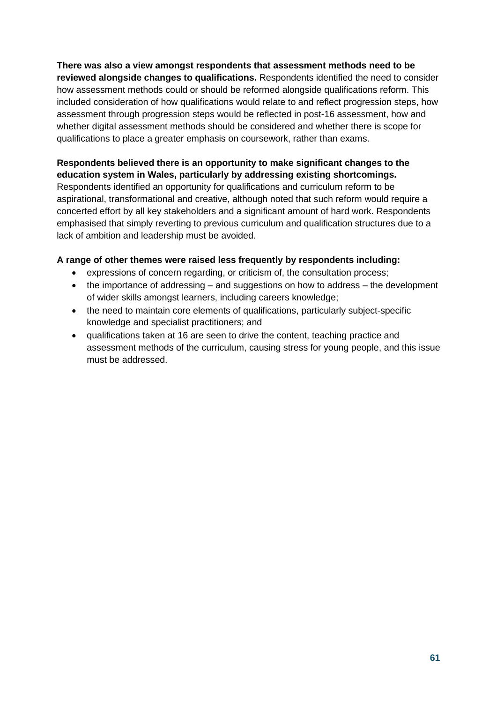**There was also a view amongst respondents that assessment methods need to be reviewed alongside changes to qualifications.** Respondents identified the need to consider how assessment methods could or should be reformed alongside qualifications reform. This included consideration of how qualifications would relate to and reflect progression steps, how assessment through progression steps would be reflected in post-16 assessment, how and whether digital assessment methods should be considered and whether there is scope for qualifications to place a greater emphasis on coursework, rather than exams.

**Respondents believed there is an opportunity to make significant changes to the education system in Wales, particularly by addressing existing shortcomings.**  Respondents identified an opportunity for qualifications and curriculum reform to be aspirational, transformational and creative, although noted that such reform would require a concerted effort by all key stakeholders and a significant amount of hard work. Respondents emphasised that simply reverting to previous curriculum and qualification structures due to a lack of ambition and leadership must be avoided.

#### **A range of other themes were raised less frequently by respondents including:**

- expressions of concern regarding, or criticism of, the consultation process;
- the importance of addressing and suggestions on how to address the development of wider skills amongst learners, including careers knowledge;
- the need to maintain core elements of qualifications, particularly subject-specific knowledge and specialist practitioners; and
- qualifications taken at 16 are seen to drive the content, teaching practice and assessment methods of the curriculum, causing stress for young people, and this issue must be addressed.